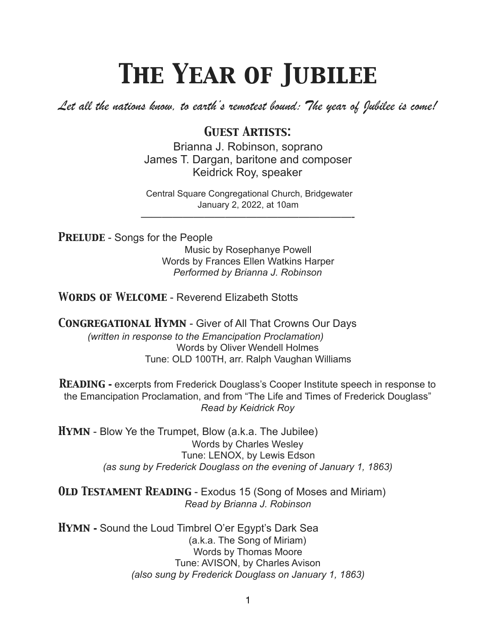## *The Year of Jubilee*

*Let all the nations know, to earth's remotest bound: The year of Jubilee is come!* 

## *Guest Artists:*

Brianna J. Robinson, soprano James T. Dargan, baritone and composer Keidrick Roy, speaker

Central Square Congregational Church, Bridgewater January 2, 2022, at 10am ————————————————————-

**PRELUDE** - Songs for the People Music by Rosephanye Powell Words by Frances Ellen Watkins Harper *Performed by Brianna J. Robinson* 

*Words of Welcome* - Reverend Elizabeth Stotts

*Congregational Hymn* - Giver of All That Crowns Our Days *(written in response to the Emancipation Proclamation)*  Words by Oliver Wendell Holmes Tune: OLD 100TH, arr. Ralph Vaughan Williams

**READING** - excerpts from Frederick Douglass's Cooper Institute speech in response to the Emancipation Proclamation, and from "The Life and Times of Frederick Douglass" *Read by Keidrick Roy* 

*Hymn* - Blow Ye the Trumpet, Blow (a.k.a. The Jubilee) Words by Charles Wesley Tune: LENOX, by Lewis Edson *(as sung by Frederick Douglass on the evening of January 1, 1863)* 

*Old Testament Reading* - Exodus 15 (Song of Moses and Miriam) *Read by Brianna J. Robinson* 

*Hymn* **-** Sound the Loud Timbrel O'er Egypt's Dark Sea (a.k.a. The Song of Miriam) Words by Thomas Moore Tune: AVISON, by Charles Avison *(also sung by Frederick Douglass on January 1, 1863)*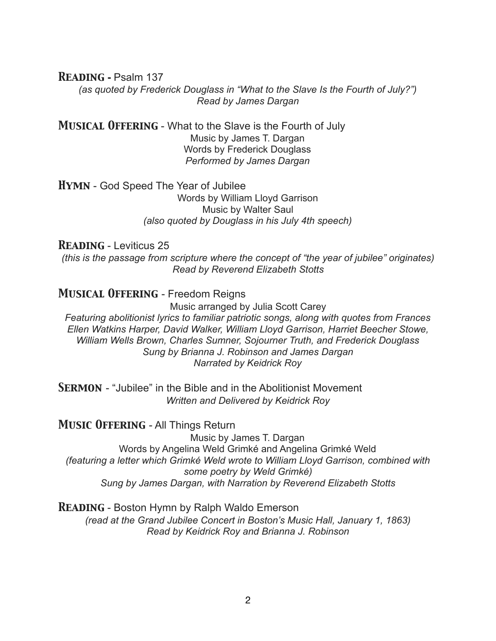*Reading* **-** Psalm 137

*(as quoted by Frederick Douglass in "What to the Slave Is the Fourth of July?") Read by James Dargan* 

*Musical Offering* - What to the Slave is the Fourth of July Music by James T. Dargan Words by Frederick Douglass *Performed by James Dargan* 

*Hymn* - God Speed The Year of Jubilee Words by William Lloyd Garrison Music by Walter Saul *(also quoted by Douglass in his July 4th speech)* 

#### *Reading* - Leviticus 25

*(this is the passage from scripture where the concept of "the year of jubilee" originates) Read by Reverend Elizabeth Stotts* 

*Musical Offering* - Freedom Reigns

Music arranged by Julia Scott Carey

*Featuring abolitionist lyrics to familiar patriotic songs, along with quotes from Frances Ellen Watkins Harper, David Walker, William Lloyd Garrison, Harriet Beecher Stowe, William Wells Brown, Charles Sumner, Sojourner Truth, and Frederick Douglass Sung by Brianna J. Robinson and James Dargan Narrated by Keidrick Roy* 

**SERMON** - "Jubilee" in the Bible and in the Abolitionist Movement *Written and Delivered by Keidrick Roy* 

*Music Offering* - All Things Return

Music by James T. Dargan Words by Angelina Weld Grimké and Angelina Grimké Weld *(featuring a letter which Grimké Weld wrote to William Lloyd Garrison, combined with some poetry by Weld Grimké) Sung by James Dargan, with Narration by Reverend Elizabeth Stotts* 

*Reading* - Boston Hymn by Ralph Waldo Emerson *(read at the Grand Jubilee Concert in Boston's Music Hall, January 1, 1863) Read by Keidrick Roy and Brianna J. Robinson*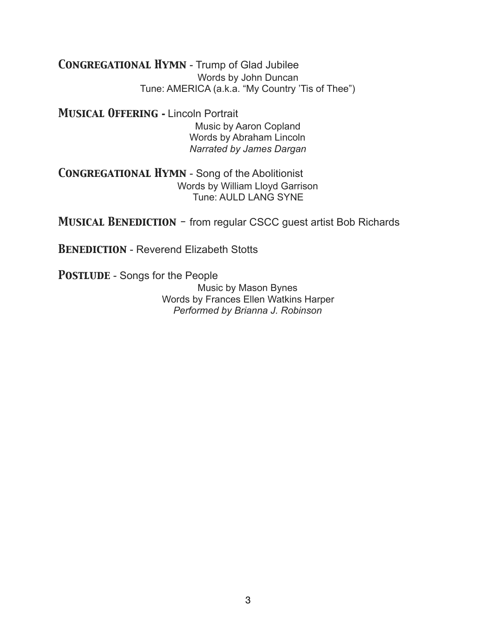*Congregational Hymn* - Trump of Glad Jubilee Words by John Duncan Tune: AMERICA (a.k.a. "My Country 'Tis of Thee")

*Musical Offering* **-** Lincoln Portrait Music by Aaron Copland Words by Abraham Lincoln *Narrated by James Dargan* 

*Congregational Hymn* - Song of the Abolitionist Words by William Lloyd Garrison Tune: AULD LANG SYNE

*Musical Benediction -* from regular CSCC guest artist Bob Richards

**BENEDICTION** - Reverend Elizabeth Stotts

**POSTLUDE** - Songs for the People

Music by Mason Bynes Words by Frances Ellen Watkins Harper *Performed by Brianna J. Robinson*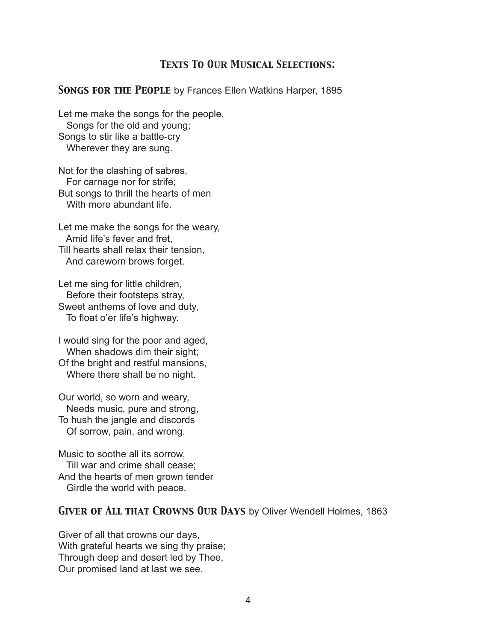## *Texts To Our Musical Selections:*

#### *Songs for the People* by Frances Ellen Watkins Harper, 1895

Let me make the songs for the people, Songs for the old and young; Songs to stir like a battle-cry Wherever they are sung.

Not for the clashing of sabres, For carnage nor for strife; But songs to thrill the hearts of men With more abundant life.

Let me make the songs for the weary, Amid life's fever and fret, Till hearts shall relax their tension, And careworn brows forget.

Let me sing for little children, Before their footsteps stray, Sweet anthems of love and duty, To float o'er life's highway.

I would sing for the poor and aged, When shadows dim their sight; Of the bright and restful mansions, Where there shall be no night.

Our world, so worn and weary, Needs music, pure and strong, To hush the jangle and discords Of sorrow, pain, and wrong.

Music to soothe all its sorrow, Till war and crime shall cease; And the hearts of men grown tender Girdle the world with peace.

#### *Giver of All that Crowns Our Days* by Oliver Wendell Holmes, 1863

Giver of all that crowns our days, With grateful hearts we sing thy praise; Through deep and desert led by Thee, Our promised land at last we see.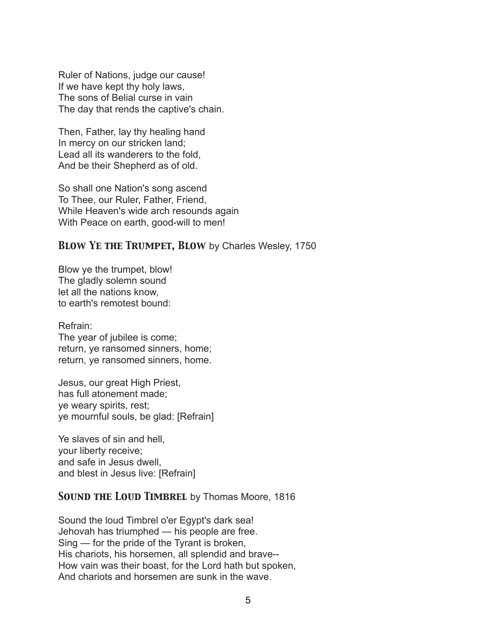Ruler of Nations, judge our cause! If we have kept thy holy laws, The sons of Belial curse in vain The day that rends the captive's chain.

Then, Father, lay thy healing hand In mercy on our stricken land; Lead all its wanderers to the fold, And be their Shepherd as of old.

So shall one Nation's song ascend To Thee, our Ruler, Father, Friend, While Heaven's wide arch resounds again With Peace on earth, good-will to men!

## *Blow Ye the Trumpet, Blow* by Charles Wesley, 1750

Blow ye the trumpet, blow! The gladly solemn sound let all the nations know, to earth's remotest bound:

Refrain: The year of jubilee is come; return, ye ransomed sinners, home; return, ye ransomed sinners, home.

Jesus, our great High Priest, has full atonement made; ye weary spirits, rest; ye mournful souls, be glad: [Refrain]

Ye slaves of sin and hell, your liberty receive; and safe in Jesus dwell, and blest in Jesus live: [Refrain]

## *Sound the Loud Timbrel* by Thomas Moore, 1816

Sound the loud Timbrel o'er Egypt's dark sea! Jehovah has triumphed — his people are free. Sing — for the pride of the Tyrant is broken, His chariots, his horsemen, all splendid and brave-- How vain was their boast, for the Lord hath but spoken, And chariots and horsemen are sunk in the wave.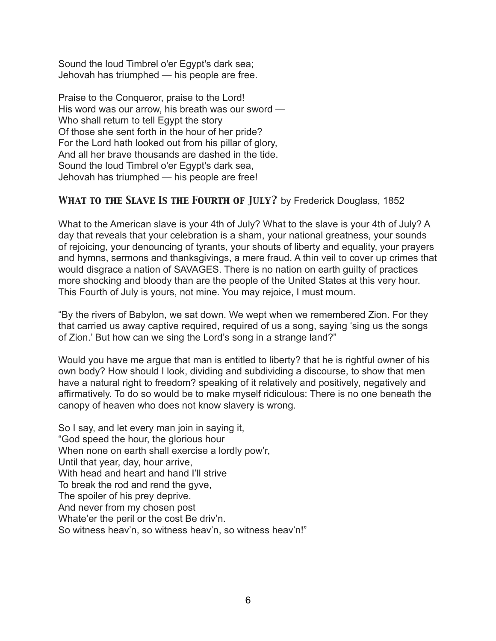Sound the loud Timbrel o'er Egypt's dark sea; Jehovah has triumphed — his people are free.

Praise to the Conqueror, praise to the Lord! His word was our arrow, his breath was our sword — Who shall return to tell Egypt the story Of those she sent forth in the hour of her pride? For the Lord hath looked out from his pillar of glory, And all her brave thousands are dashed in the tide. Sound the loud Timbrel o'er Egypt's dark sea, Jehovah has triumphed — his people are free!

## *What to the Slave Is the Fourth of July?* by Frederick Douglass, 1852

What to the American slave is your 4th of July? What to the slave is your 4th of July? A day that reveals that your celebration is a sham, your national greatness, your sounds of rejoicing, your denouncing of tyrants, your shouts of liberty and equality, your prayers and hymns, sermons and thanksgivings, a mere fraud. A thin veil to cover up crimes that would disgrace a nation of SAVAGES. There is no nation on earth guilty of practices more shocking and bloody than are the people of the United States at this very hour. This Fourth of July is yours, not mine. You may rejoice, I must mourn.

"By the rivers of Babylon, we sat down. We wept when we remembered Zion. For they that carried us away captive required, required of us a song, saying 'sing us the songs of Zion.' But how can we sing the Lord's song in a strange land?"

Would you have me argue that man is entitled to liberty? that he is rightful owner of his own body? How should I look, dividing and subdividing a discourse, to show that men have a natural right to freedom? speaking of it relatively and positively, negatively and affirmatively. To do so would be to make myself ridiculous: There is no one beneath the canopy of heaven who does not know slavery is wrong.

So I say, and let every man join in saying it, "God speed the hour, the glorious hour When none on earth shall exercise a lordly pow'r. Until that year, day, hour arrive, With head and heart and hand I'll strive To break the rod and rend the gyve, The spoiler of his prey deprive. And never from my chosen post Whate'er the peril or the cost Be driv'n. So witness heav'n, so witness heav'n, so witness heav'n!"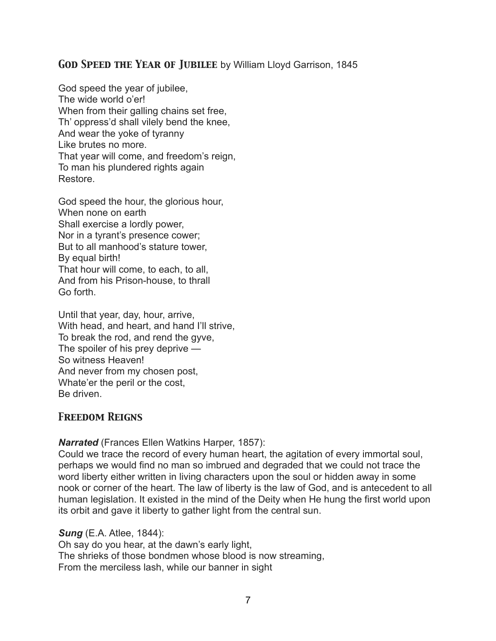## *God Speed the Year of Jubilee* by William Lloyd Garrison, 1845

God speed the year of jubilee, The wide world o'er! When from their galling chains set free, Th' oppress'd shall vilely bend the knee, And wear the yoke of tyranny Like brutes no more. That year will come, and freedom's reign, To man his plundered rights again Restore.

God speed the hour, the glorious hour, When none on earth Shall exercise a lordly power, Nor in a tyrant's presence cower; But to all manhood's stature tower, By equal birth! That hour will come, to each, to all, And from his Prison-house, to thrall Go forth.

Until that year, day, hour, arrive, With head, and heart, and hand I'll strive, To break the rod, and rend the gyve, The spoiler of his prey deprive — So witness Heaven! And never from my chosen post, Whate'er the peril or the cost, Be driven.

## *Freedom Reigns*

*Narrated* (Frances Ellen Watkins Harper, 1857):

Could we trace the record of every human heart, the agitation of every immortal soul, perhaps we would find no man so imbrued and degraded that we could not trace the word liberty either written in living characters upon the soul or hidden away in some nook or corner of the heart. The law of liberty is the law of God, and is antecedent to all human legislation. It existed in the mind of the Deity when He hung the first world upon its orbit and gave it liberty to gather light from the central sun.

#### *Sung* (E.A. Atlee, 1844):

Oh say do you hear, at the dawn's early light, The shrieks of those bondmen whose blood is now streaming, From the merciless lash, while our banner in sight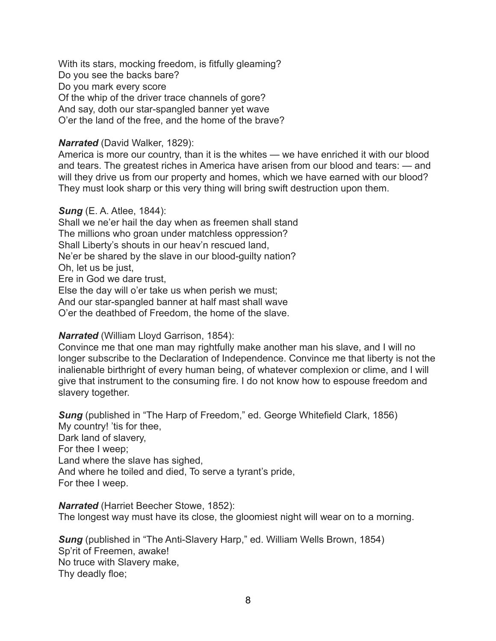With its stars, mocking freedom, is fitfully gleaming? Do you see the backs bare? Do you mark every score Of the whip of the driver trace channels of gore? And say, doth our star-spangled banner yet wave O'er the land of the free, and the home of the brave?

#### *Narrated* (David Walker, 1829):

America is more our country, than it is the whites — we have enriched it with our blood and tears. The greatest riches in America have arisen from our blood and tears: — and will they drive us from our property and homes, which we have earned with our blood? They must look sharp or this very thing will bring swift destruction upon them.

#### *Sung* (E. A. Atlee, 1844):

Shall we ne'er hail the day when as freemen shall stand The millions who groan under matchless oppression? Shall Liberty's shouts in our heav'n rescued land, Ne'er be shared by the slave in our blood-guilty nation? Oh, let us be just, Ere in God we dare trust, Else the day will o'er take us when perish we must; And our star-spangled banner at half mast shall wave O'er the deathbed of Freedom, the home of the slave.

#### *Narrated* (William Lloyd Garrison, 1854):

Convince me that one man may rightfully make another man his slave, and I will no longer subscribe to the Declaration of Independence. Convince me that liberty is not the inalienable birthright of every human being, of whatever complexion or clime, and I will give that instrument to the consuming fire. I do not know how to espouse freedom and slavery together.

**Sung** (published in "The Harp of Freedom," ed. George Whitefield Clark, 1856) My country! 'tis for thee, Dark land of slavery, For thee I weep; Land where the slave has sighed, And where he toiled and died, To serve a tyrant's pride, For thee I weep.

*Narrated* (Harriet Beecher Stowe, 1852): The longest way must have its close, the gloomiest night will wear on to a morning.

**Sung** (published in "The Anti-Slavery Harp," ed. William Wells Brown, 1854) Sp'rit of Freemen, awake! No truce with Slavery make, Thy deadly floe;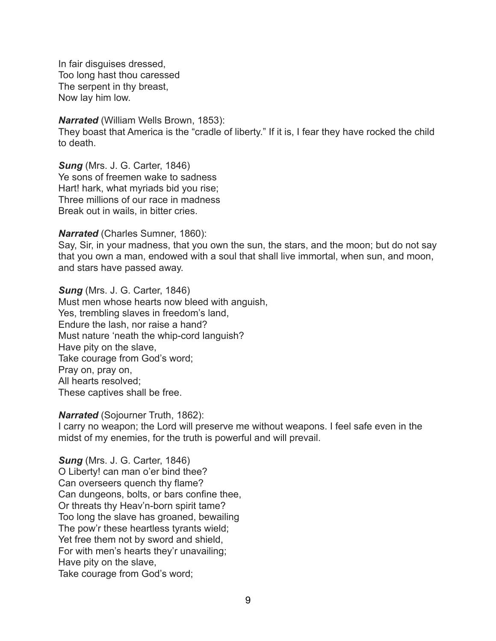In fair disguises dressed, Too long hast thou caressed The serpent in thy breast, Now lay him low.

*Narrated* (William Wells Brown, 1853):

They boast that America is the "cradle of liberty." If it is, I fear they have rocked the child to death.

*Sung* (Mrs. J. G. Carter, 1846) Ye sons of freemen wake to sadness Hart! hark, what myriads bid you rise; Three millions of our race in madness Break out in wails, in bitter cries.

#### *Narrated* (Charles Sumner, 1860):

Say, Sir, in your madness, that you own the sun, the stars, and the moon; but do not say that you own a man, endowed with a soul that shall live immortal, when sun, and moon, and stars have passed away.

*Sung* (Mrs. J. G. Carter, 1846) Must men whose hearts now bleed with anguish, Yes, trembling slaves in freedom's land, Endure the lash, nor raise a hand? Must nature 'neath the whip-cord languish? Have pity on the slave, Take courage from God's word; Pray on, pray on, All hearts resolved; These captives shall be free.

#### *Narrated* (Sojourner Truth, 1862):

I carry no weapon; the Lord will preserve me without weapons. I feel safe even in the midst of my enemies, for the truth is powerful and will prevail.

*Sung* (Mrs. J. G. Carter, 1846) O Liberty! can man o'er bind thee? Can overseers quench thy flame? Can dungeons, bolts, or bars confine thee, Or threats thy Heav'n-born spirit tame? Too long the slave has groaned, bewailing The pow'r these heartless tyrants wield; Yet free them not by sword and shield, For with men's hearts they'r unavailing; Have pity on the slave, Take courage from God's word;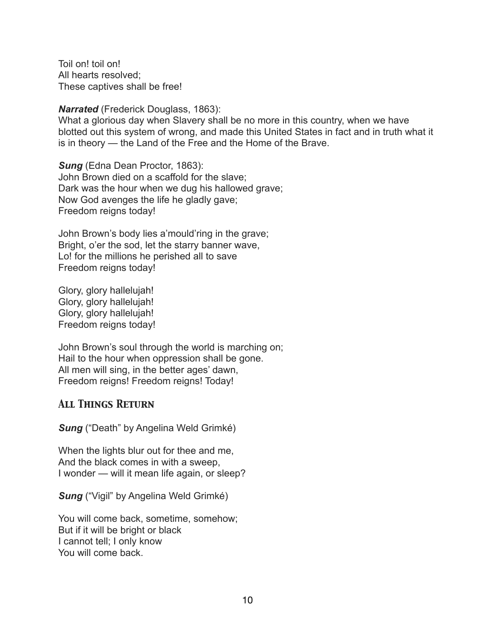Toil on! toil on! All hearts resolved; These captives shall be free!

*Narrated* (Frederick Douglass, 1863):

What a glorious day when Slavery shall be no more in this country, when we have blotted out this system of wrong, and made this United States in fact and in truth what it is in theory — the Land of the Free and the Home of the Brave.

*Sung* (Edna Dean Proctor, 1863): John Brown died on a scaffold for the slave; Dark was the hour when we dug his hallowed grave; Now God avenges the life he gladly gave; Freedom reigns today!

John Brown's body lies a'mould'ring in the grave; Bright, o'er the sod, let the starry banner wave, Lo! for the millions he perished all to save Freedom reigns today!

Glory, glory hallelujah! Glory, glory hallelujah! Glory, glory hallelujah! Freedom reigns today!

John Brown's soul through the world is marching on; Hail to the hour when oppression shall be gone. All men will sing, in the better ages' dawn, Freedom reigns! Freedom reigns! Today!

## *All Things Return*

*Sung* ("Death" by Angelina Weld Grimké)

When the lights blur out for thee and me, And the black comes in with a sweep, I wonder — will it mean life again, or sleep?

**Sung** ("Vigil" by Angelina Weld Grimké)

You will come back, sometime, somehow; But if it will be bright or black I cannot tell; I only know You will come back.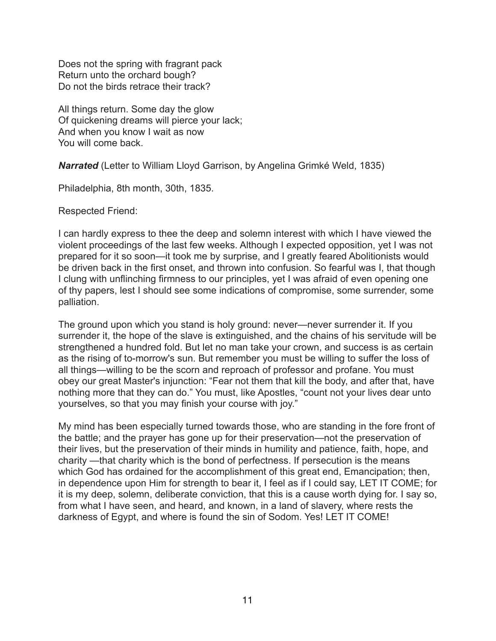Does not the spring with fragrant pack Return unto the orchard bough? Do not the birds retrace their track?

All things return. Some day the glow Of quickening dreams will pierce your lack; And when you know I wait as now You will come back.

*Narrated* (Letter to William Lloyd Garrison, by Angelina Grimké Weld, 1835)

Philadelphia, 8th month, 30th, 1835.

Respected Friend:

I can hardly express to thee the deep and solemn interest with which I have viewed the violent proceedings of the last few weeks. Although I expected opposition, yet I was not prepared for it so soon—it took me by surprise, and I greatly feared Abolitionists would be driven back in the first onset, and thrown into confusion. So fearful was I, that though I clung with unflinching firmness to our principles, yet I was afraid of even opening one of thy papers, lest I should see some indications of compromise, some surrender, some palliation.

The ground upon which you stand is holy ground: never—never surrender it. If you surrender it, the hope of the slave is extinguished, and the chains of his servitude will be strengthened a hundred fold. But let no man take your crown, and success is as certain as the rising of to-morrow's sun. But remember you must be willing to suffer the loss of all things—willing to be the scorn and reproach of professor and profane. You must obey our great Master's injunction: "Fear not them that kill the body, and after that, have nothing more that they can do." You must, like Apostles, "count not your lives dear unto yourselves, so that you may finish your course with joy."

My mind has been especially turned towards those, who are standing in the fore front of the battle; and the prayer has gone up for their preservation—not the preservation of their lives, but the preservation of their minds in humility and patience, faith, hope, and charity —that charity which is the bond of perfectness. If persecution is the means which God has ordained for the accomplishment of this great end, Emancipation; then, in dependence upon Him for strength to bear it, I feel as if I could say, LET IT COME; for it is my deep, solemn, deliberate conviction, that this is a cause worth dying for. I say so, from what I have seen, and heard, and known, in a land of slavery, where rests the darkness of Egypt, and where is found the sin of Sodom. Yes! LET IT COME!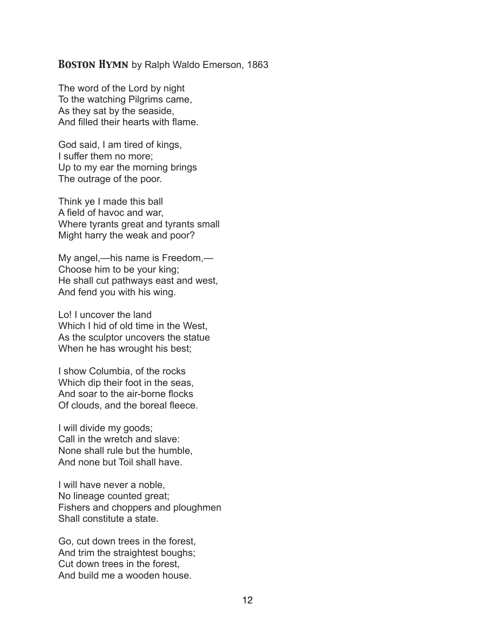#### *Boston Hymn* by Ralph Waldo Emerson, 1863

The word of the Lord by night To the watching Pilgrims came, As they sat by the seaside, And filled their hearts with flame.

God said, I am tired of kings, I suffer them no more; Up to my ear the morning brings The outrage of the poor.

Think ye I made this ball A field of havoc and war, Where tyrants great and tyrants small Might harry the weak and poor?

My angel,—his name is Freedom,— Choose him to be your king; He shall cut pathways east and west, And fend you with his wing.

Lo! I uncover the land Which I hid of old time in the West, As the sculptor uncovers the statue When he has wrought his best;

I show Columbia, of the rocks Which dip their foot in the seas. And soar to the air-borne flocks Of clouds, and the boreal fleece.

I will divide my goods; Call in the wretch and slave: None shall rule but the humble, And none but Toil shall have.

I will have never a noble, No lineage counted great; Fishers and choppers and ploughmen Shall constitute a state.

Go, cut down trees in the forest, And trim the straightest boughs; Cut down trees in the forest, And build me a wooden house.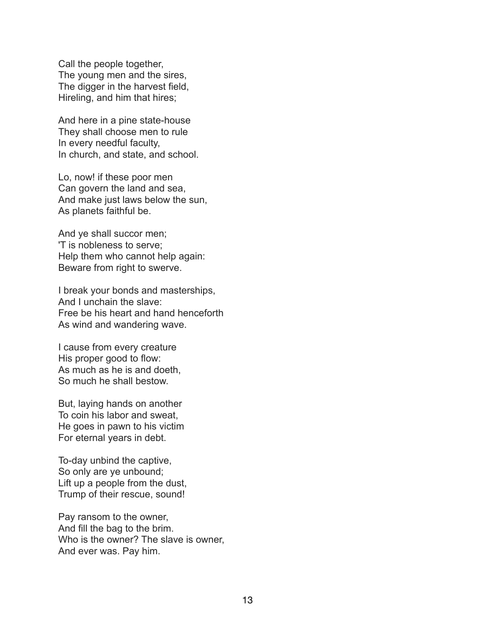Call the people together, The young men and the sires, The digger in the harvest field, Hireling, and him that hires;

And here in a pine state-house They shall choose men to rule In every needful faculty, In church, and state, and school.

Lo, now! if these poor men Can govern the land and sea, And make just laws below the sun, As planets faithful be.

And ye shall succor men; 'T is nobleness to serve; Help them who cannot help again: Beware from right to swerve.

I break your bonds and masterships, And I unchain the slave: Free be his heart and hand henceforth As wind and wandering wave.

I cause from every creature His proper good to flow: As much as he is and doeth, So much he shall bestow.

But, laying hands on another To coin his labor and sweat, He goes in pawn to his victim For eternal years in debt.

To-day unbind the captive, So only are ye unbound; Lift up a people from the dust, Trump of their rescue, sound!

Pay ransom to the owner, And fill the bag to the brim. Who is the owner? The slave is owner, And ever was. Pay him.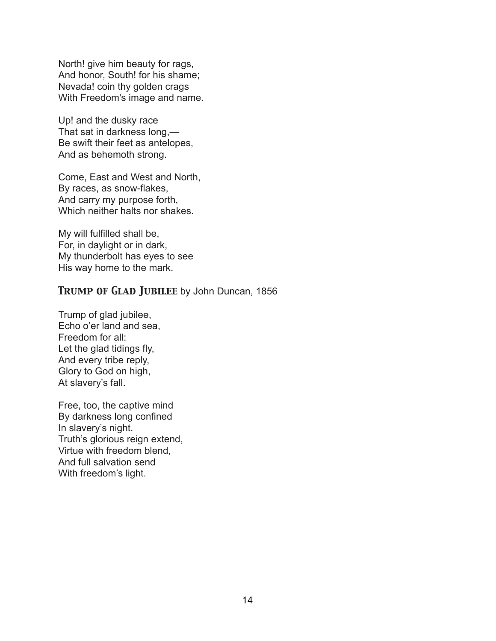North! give him beauty for rags, And honor, South! for his shame; Nevada! coin thy golden crags With Freedom's image and name.

Up! and the dusky race That sat in darkness long,— Be swift their feet as antelopes, And as behemoth strong.

Come, East and West and North, By races, as snow-flakes, And carry my purpose forth, Which neither halts nor shakes.

My will fulfilled shall be, For, in daylight or in dark, My thunderbolt has eyes to see His way home to the mark.

## *Trump of Glad Jubilee* by John Duncan, 1856

Trump of glad jubilee, Echo o'er land and sea, Freedom for all: Let the glad tidings fly, And every tribe reply, Glory to God on high, At slavery's fall.

Free, too, the captive mind By darkness long confined In slavery's night. Truth's glorious reign extend, Virtue with freedom blend, And full salvation send With freedom's light.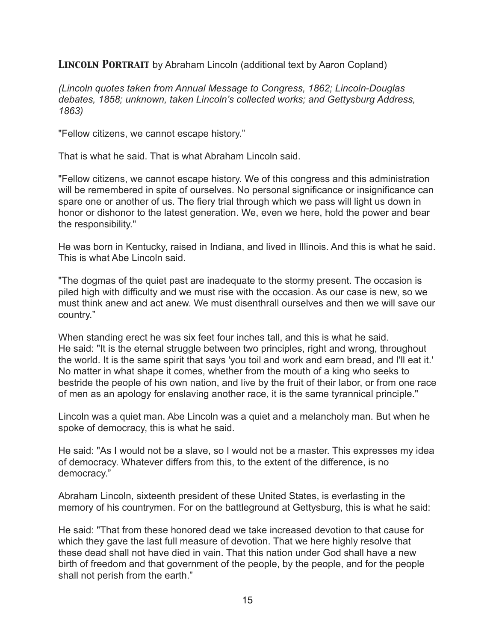*Lincoln Portrait* by Abraham Lincoln (additional text by Aaron Copland)

*(Lincoln quotes taken from Annual Message to Congress, 1862; Lincoln-Douglas debates, 1858; unknown, taken Lincoln's collected works; and Gettysburg Address, 1863)* 

"Fellow citizens, we cannot escape history."

That is what he said. That is what Abraham Lincoln said.

"Fellow citizens, we cannot escape history. We of this congress and this administration will be remembered in spite of ourselves. No personal significance or insignificance can spare one or another of us. The fiery trial through which we pass will light us down in honor or dishonor to the latest generation. We, even we here, hold the power and bear the responsibility."

He was born in Kentucky, raised in Indiana, and lived in Illinois. And this is what he said. This is what Abe Lincoln said.

"The dogmas of the quiet past are inadequate to the stormy present. The occasion is piled high with difficulty and we must rise with the occasion. As our case is new, so we must think anew and act anew. We must disenthrall ourselves and then we will save our country."

When standing erect he was six feet four inches tall, and this is what he said. He said: "It is the eternal struggle between two principles, right and wrong, throughout the world. It is the same spirit that says 'you toil and work and earn bread, and I'll eat it.' No matter in what shape it comes, whether from the mouth of a king who seeks to bestride the people of his own nation, and live by the fruit of their labor, or from one race of men as an apology for enslaving another race, it is the same tyrannical principle."

Lincoln was a quiet man. Abe Lincoln was a quiet and a melancholy man. But when he spoke of democracy, this is what he said.

He said: "As I would not be a slave, so I would not be a master. This expresses my idea of democracy. Whatever differs from this, to the extent of the difference, is no democracy."

Abraham Lincoln, sixteenth president of these United States, is everlasting in the memory of his countrymen. For on the battleground at Gettysburg, this is what he said:

He said: "That from these honored dead we take increased devotion to that cause for which they gave the last full measure of devotion. That we here highly resolve that these dead shall not have died in vain. That this nation under God shall have a new birth of freedom and that government of the people, by the people, and for the people shall not perish from the earth."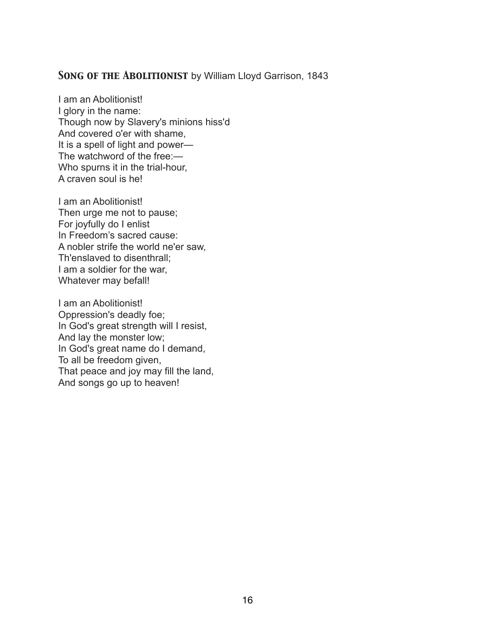#### *Song of the Abolitionist* by William Lloyd Garrison, 1843

I am an Abolitionist! I glory in the name: Though now by Slavery's minions hiss'd And covered o'er with shame, It is a spell of light and power— The watchword of the free:— Who spurns it in the trial-hour, A craven soul is he!

I am an Abolitionist! Then urge me not to pause; For joyfully do I enlist In Freedom's sacred cause: A nobler strife the world ne'er saw, Th'enslaved to disenthrall; I am a soldier for the war, Whatever may befall!

I am an Abolitionist! Oppression's deadly foe; In God's great strength will I resist, And lay the monster low; In God's great name do I demand, To all be freedom given, That peace and joy may fill the land, And songs go up to heaven!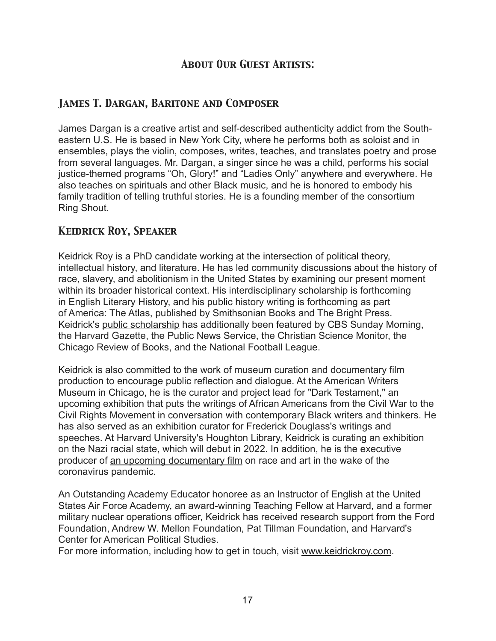## *About Our Guest Artists:*

## *James T. Dargan, Baritone and Composer*

James Dargan is a creative artist and self-described authenticity addict from the Southeastern U.S. He is based in New York City, where he performs both as soloist and in ensembles, plays the violin, composes, writes, teaches, and translates poetry and prose from several languages. Mr. Dargan, a singer since he was a child, performs his social justice-themed programs "Oh, Glory!" and "Ladies Only" anywhere and everywhere. He also teaches on spirituals and other Black music, and he is honored to embody his family tradition of telling truthful stories. He is a founding member of the consortium Ring Shout.

## *Keidrick Roy, Speaker*

Keidrick Roy is a PhD candidate working at the intersection of political theory, intellectual history, and literature. He has led community discussions about the history of race, slavery, and abolitionism in the United States by examining our present moment within its broader historical context. His interdisciplinary scholarship is forthcoming in English Literary History, and his public history writing is forthcoming as part of America: The Atlas, published by Smithsonian Books and The Bright Press. Keidrick's public scholarship has additionally been featured by CBS Sunday Morning, the Harvard Gazette, the Public News Service, the Christian Science Monitor, the Chicago Review of Books, and the National Football League.

Keidrick is also committed to the work of museum curation and documentary film production to encourage public reflection and dialogue. At the American Writers Museum in Chicago, he is the curator and project lead for "Dark Testament," an upcoming exhibition that puts the writings of African Americans from the Civil War to the Civil Rights Movement in conversation with contemporary Black writers and thinkers. He has also served as an exhibition curator for Frederick Douglass's writings and speeches. At Harvard University's Houghton Library, Keidrick is curating an exhibition on the Nazi racial state, which will debut in 2022. In addition, he is the executive producer of an upcoming documentary film on race and art in the wake of the coronavirus pandemic.

An Outstanding Academy Educator honoree as an Instructor of English at the United States Air Force Academy, an award-winning Teaching Fellow at Harvard, and a former military nuclear operations officer, Keidrick has received research support from the Ford Foundation, Andrew W. Mellon Foundation, Pat Tillman Foundation, and Harvard's Center for American Political Studies.

For more information, including how to get in touch, visit www.keidrickroy.com.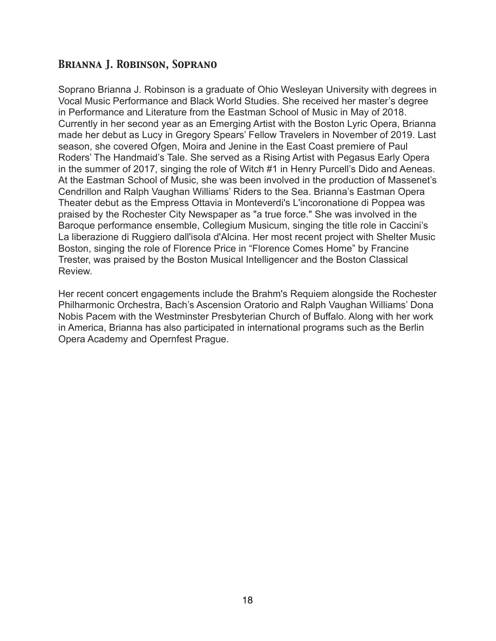## *Brianna J. Robinson, Soprano*

Soprano Brianna J. Robinson is a graduate of Ohio Wesleyan University with degrees in Vocal Music Performance and Black World Studies. She received her master's degree in Performance and Literature from the Eastman School of Music in May of 2018. Currently in her second year as an Emerging Artist with the Boston Lyric Opera, Brianna made her debut as Lucy in Gregory Spears' Fellow Travelers in November of 2019. Last season, she covered Ofgen, Moira and Jenine in the East Coast premiere of Paul Roders' The Handmaid's Tale. She served as a Rising Artist with Pegasus Early Opera in the summer of 2017, singing the role of Witch #1 in Henry Purcell's Dido and Aeneas. At the Eastman School of Music, she was been involved in the production of Massenet's Cendrillon and Ralph Vaughan Williams' Riders to the Sea. Brianna's Eastman Opera Theater debut as the Empress Ottavia in Monteverdi's L'incoronatione di Poppea was praised by the Rochester City Newspaper as "a true force." She was involved in the Baroque performance ensemble, Collegium Musicum, singing the title role in Caccini's La liberazione di Ruggiero dall'isola d'Alcina. Her most recent project with Shelter Music Boston, singing the role of Florence Price in "Florence Comes Home" by Francine Trester, was praised by the Boston Musical Intelligencer and the Boston Classical Review.

Her recent concert engagements include the Brahm's Requiem alongside the Rochester Philharmonic Orchestra, Bach's Ascension Oratorio and Ralph Vaughan Williams' Dona Nobis Pacem with the Westminster Presbyterian Church of Buffalo. Along with her work in America, Brianna has also participated in international programs such as the Berlin Opera Academy and Opernfest Prague.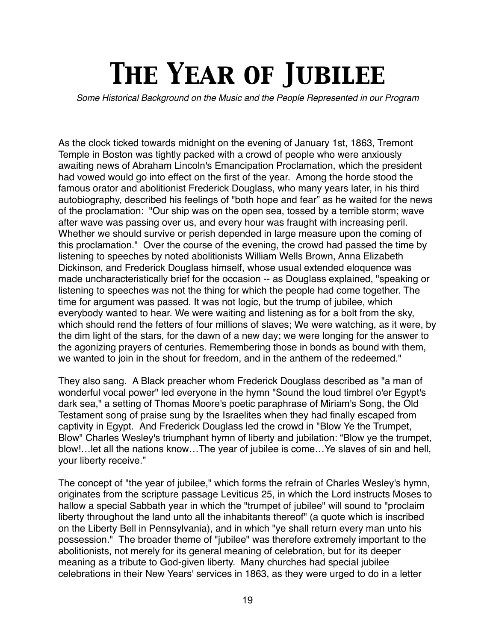# *The Year of Jubilee*

*Some Historical Background on the Music and the People Represented in our Program*

As the clock ticked towards midnight on the evening of January 1st, 1863, Tremont Temple in Boston was tightly packed with a crowd of people who were anxiously awaiting news of Abraham Lincoln's Emancipation Proclamation, which the president had vowed would go into effect on the first of the year. Among the horde stood the famous orator and abolitionist Frederick Douglass, who many years later, in his third autobiography, described his feelings of "both hope and fear" as he waited for the news of the proclamation: "Our ship was on the open sea, tossed by a terrible storm; wave after wave was passing over us, and every hour was fraught with increasing peril. Whether we should survive or perish depended in large measure upon the coming of this proclamation." Over the course of the evening, the crowd had passed the time by listening to speeches by noted abolitionists William Wells Brown, Anna Elizabeth Dickinson, and Frederick Douglass himself, whose usual extended eloquence was made uncharacteristically brief for the occasion -- as Douglass explained, "speaking or listening to speeches was not the thing for which the people had come together. The time for argument was passed. It was not logic, but the trump of jubilee, which everybody wanted to hear. We were waiting and listening as for a bolt from the sky, which should rend the fetters of four millions of slaves; We were watching, as it were, by the dim light of the stars, for the dawn of a new day; we were longing for the answer to the agonizing prayers of centuries. Remembering those in bonds as bound with them, we wanted to join in the shout for freedom, and in the anthem of the redeemed."

They also sang. A Black preacher whom Frederick Douglass described as "a man of wonderful vocal power" led everyone in the hymn "Sound the loud timbrel o'er Egypt's dark sea," a setting of Thomas Moore's poetic paraphrase of Miriam's Song, the Old Testament song of praise sung by the Israelites when they had finally escaped from captivity in Egypt. And Frederick Douglass led the crowd in "Blow Ye the Trumpet, Blow" Charles Wesley's triumphant hymn of liberty and jubilation: "Blow ye the trumpet, blow!…let all the nations know…The year of jubilee is come…Ye slaves of sin and hell, your liberty receive."

The concept of "the year of jubilee," which forms the refrain of Charles Wesley's hymn, originates from the scripture passage Leviticus 25, in which the Lord instructs Moses to hallow a special Sabbath year in which the "trumpet of jubilee" will sound to "proclaim liberty throughout the land unto all the inhabitants thereof" (a quote which is inscribed on the Liberty Bell in Pennsylvania), and in which "ye shall return every man unto his possession." The broader theme of "jubilee" was therefore extremely important to the abolitionists, not merely for its general meaning of celebration, but for its deeper meaning as a tribute to God-given liberty. Many churches had special jubilee celebrations in their New Years' services in 1863, as they were urged to do in a letter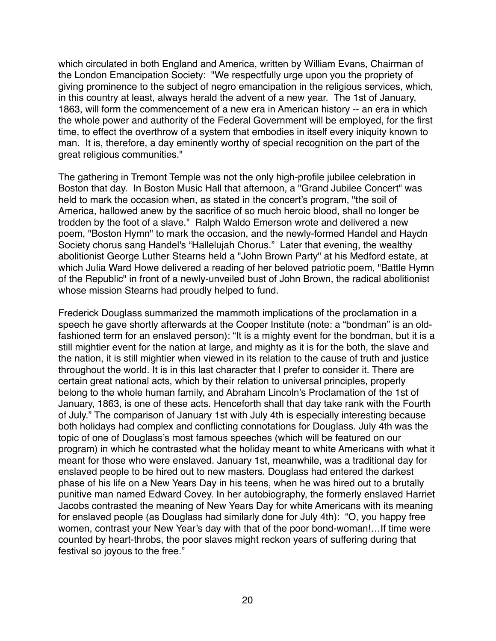which circulated in both England and America, written by William Evans, Chairman of the London Emancipation Society: "We respectfully urge upon you the propriety of giving prominence to the subject of negro emancipation in the religious services, which, in this country at least, always herald the advent of a new year. The 1st of January, 1863, will form the commencement of a new era in American history -- an era in which the whole power and authority of the Federal Government will be employed, for the first time, to effect the overthrow of a system that embodies in itself every iniquity known to man. It is, therefore, a day eminently worthy of special recognition on the part of the great religious communities."

The gathering in Tremont Temple was not the only high-profile jubilee celebration in Boston that day. In Boston Music Hall that afternoon, a "Grand Jubilee Concert" was held to mark the occasion when, as stated in the concert's program, "the soil of America, hallowed anew by the sacrifice of so much heroic blood, shall no longer be trodden by the foot of a slave." Ralph Waldo Emerson wrote and delivered a new poem, "Boston Hymn" to mark the occasion, and the newly-formed Handel and Haydn Society chorus sang Handel's "Hallelujah Chorus." Later that evening, the wealthy abolitionist George Luther Stearns held a "John Brown Party" at his Medford estate, at which Julia Ward Howe delivered a reading of her beloved patriotic poem, "Battle Hymn of the Republic" in front of a newly-unveiled bust of John Brown, the radical abolitionist whose mission Stearns had proudly helped to fund.

Frederick Douglass summarized the mammoth implications of the proclamation in a speech he gave shortly afterwards at the Cooper Institute (note: a "bondman" is an oldfashioned term for an enslaved person): "It is a mighty event for the bondman, but it is a still mightier event for the nation at large, and mighty as it is for the both, the slave and the nation, it is still mightier when viewed in its relation to the cause of truth and justice throughout the world. It is in this last character that I prefer to consider it. There are certain great national acts, which by their relation to universal principles, properly belong to the whole human family, and Abraham Lincoln's Proclamation of the 1st of January, 1863, is one of these acts. Henceforth shall that day take rank with the Fourth of July." The comparison of January 1st with July 4th is especially interesting because both holidays had complex and conflicting connotations for Douglass. July 4th was the topic of one of Douglass's most famous speeches (which will be featured on our program) in which he contrasted what the holiday meant to white Americans with what it meant for those who were enslaved. January 1st, meanwhile, was a traditional day for enslaved people to be hired out to new masters. Douglass had entered the darkest phase of his life on a New Years Day in his teens, when he was hired out to a brutally punitive man named Edward Covey. In her autobiography, the formerly enslaved Harriet Jacobs contrasted the meaning of New Years Day for white Americans with its meaning for enslaved people (as Douglass had similarly done for July 4th): "O, you happy free women, contrast your New Year's day with that of the poor bond-woman!…If time were counted by heart-throbs, the poor slaves might reckon years of suffering during that festival so joyous to the free."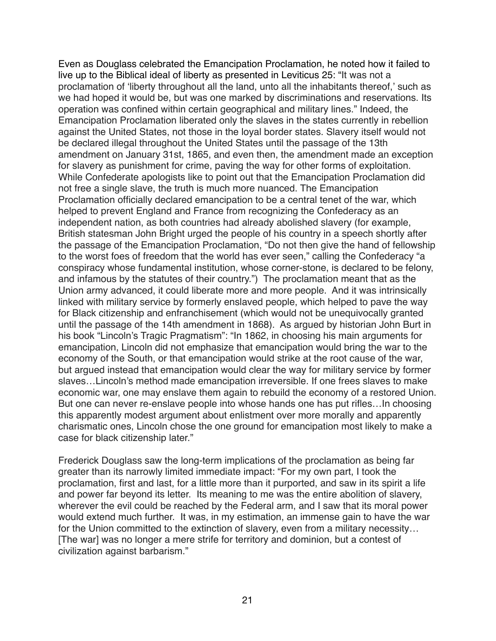Even as Douglass celebrated the Emancipation Proclamation, he noted how it failed to live up to the Biblical ideal of liberty as presented in Leviticus 25: "It was not a proclamation of 'liberty throughout all the land, unto all the inhabitants thereof,' such as we had hoped it would be, but was one marked by discriminations and reservations. Its operation was confined within certain geographical and military lines." Indeed, the Emancipation Proclamation liberated only the slaves in the states currently in rebellion against the United States, not those in the loyal border states. Slavery itself would not be declared illegal throughout the United States until the passage of the 13th amendment on January 31st, 1865, and even then, the amendment made an exception for slavery as punishment for crime, paving the way for other forms of exploitation. While Confederate apologists like to point out that the Emancipation Proclamation did not free a single slave, the truth is much more nuanced. The Emancipation Proclamation officially declared emancipation to be a central tenet of the war, which helped to prevent England and France from recognizing the Confederacy as an independent nation, as both countries had already abolished slavery (for example, British statesman John Bright urged the people of his country in a speech shortly after the passage of the Emancipation Proclamation, "Do not then give the hand of fellowship to the worst foes of freedom that the world has ever seen," calling the Confederacy "a conspiracy whose fundamental institution, whose corner-stone, is declared to be felony, and infamous by the statutes of their country.") The proclamation meant that as the Union army advanced, it could liberate more and more people. And it was intrinsically linked with military service by formerly enslaved people, which helped to pave the way for Black citizenship and enfranchisement (which would not be unequivocally granted until the passage of the 14th amendment in 1868). As argued by historian John Burt in his book "Lincoln's Tragic Pragmatism": "In 1862, in choosing his main arguments for emancipation, Lincoln did not emphasize that emancipation would bring the war to the economy of the South, or that emancipation would strike at the root cause of the war, but argued instead that emancipation would clear the way for military service by former slaves…Lincoln's method made emancipation irreversible. If one frees slaves to make economic war, one may enslave them again to rebuild the economy of a restored Union. But one can never re-enslave people into whose hands one has put rifles…In choosing this apparently modest argument about enlistment over more morally and apparently charismatic ones, Lincoln chose the one ground for emancipation most likely to make a case for black citizenship later."

Frederick Douglass saw the long-term implications of the proclamation as being far greater than its narrowly limited immediate impact: "For my own part, I took the proclamation, first and last, for a little more than it purported, and saw in its spirit a life and power far beyond its letter. Its meaning to me was the entire abolition of slavery, wherever the evil could be reached by the Federal arm, and I saw that its moral power would extend much further. It was, in my estimation, an immense gain to have the war for the Union committed to the extinction of slavery, even from a military necessity... [The war] was no longer a mere strife for territory and dominion, but a contest of civilization against barbarism."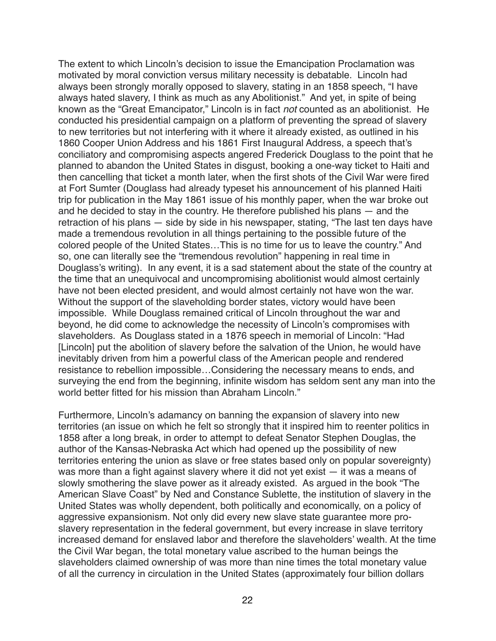The extent to which Lincoln's decision to issue the Emancipation Proclamation was motivated by moral conviction versus military necessity is debatable. Lincoln had always been strongly morally opposed to slavery, stating in an 1858 speech, "I have always hated slavery, I think as much as any Abolitionist." And yet, in spite of being known as the "Great Emancipator," Lincoln is in fact *not* counted as an abolitionist. He conducted his presidential campaign on a platform of preventing the spread of slavery to new territories but not interfering with it where it already existed, as outlined in his 1860 Cooper Union Address and his 1861 First Inaugural Address, a speech that's conciliatory and compromising aspects angered Frederick Douglass to the point that he planned to abandon the United States in disgust, booking a one-way ticket to Haiti and then cancelling that ticket a month later, when the first shots of the Civil War were fired at Fort Sumter (Douglass had already typeset his announcement of his planned Haiti trip for publication in the May 1861 issue of his monthly paper, when the war broke out and he decided to stay in the country. He therefore published his plans — and the retraction of his plans — side by side in his newspaper, stating, "The last ten days have made a tremendous revolution in all things pertaining to the possible future of the colored people of the United States…This is no time for us to leave the country." And so, one can literally see the "tremendous revolution" happening in real time in Douglass's writing). In any event, it is a sad statement about the state of the country at the time that an unequivocal and uncompromising abolitionist would almost certainly have not been elected president, and would almost certainly not have won the war. Without the support of the slaveholding border states, victory would have been impossible. While Douglass remained critical of Lincoln throughout the war and beyond, he did come to acknowledge the necessity of Lincoln's compromises with slaveholders. As Douglass stated in a 1876 speech in memorial of Lincoln: "Had [Lincoln] put the abolition of slavery before the salvation of the Union, he would have inevitably driven from him a powerful class of the American people and rendered resistance to rebellion impossible…Considering the necessary means to ends, and surveying the end from the beginning, infinite wisdom has seldom sent any man into the world better fitted for his mission than Abraham Lincoln."

Furthermore, Lincoln's adamancy on banning the expansion of slavery into new territories (an issue on which he felt so strongly that it inspired him to reenter politics in 1858 after a long break, in order to attempt to defeat Senator Stephen Douglas, the author of the Kansas-Nebraska Act which had opened up the possibility of new territories entering the union as slave or free states based only on popular sovereignty) was more than a fight against slavery where it did not yet exist — it was a means of slowly smothering the slave power as it already existed. As argued in the book "The American Slave Coast" by Ned and Constance Sublette, the institution of slavery in the United States was wholly dependent, both politically and economically, on a policy of aggressive expansionism. Not only did every new slave state guarantee more proslavery representation in the federal government, but every increase in slave territory increased demand for enslaved labor and therefore the slaveholders' wealth. At the time the Civil War began, the total monetary value ascribed to the human beings the slaveholders claimed ownership of was more than nine times the total monetary value of all the currency in circulation in the United States (approximately four billion dollars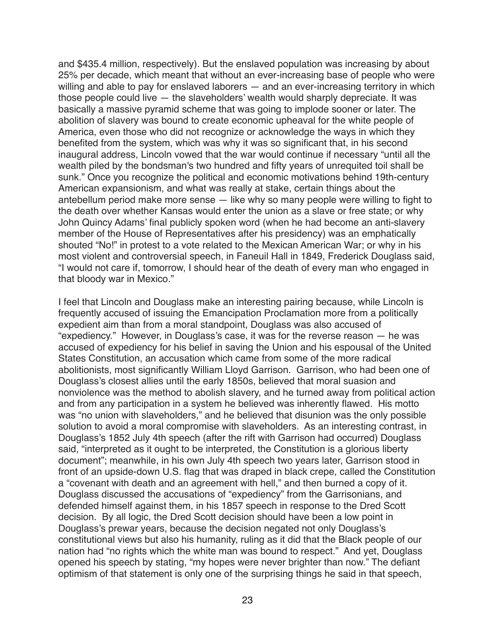and \$435.4 million, respectively). But the enslaved population was increasing by about 25% per decade, which meant that without an ever-increasing base of people who were willing and able to pay for enslaved laborers — and an ever-increasing territory in which those people could live — the slaveholders' wealth would sharply depreciate. It was basically a massive pyramid scheme that was going to implode sooner or later. The abolition of slavery was bound to create economic upheaval for the white people of America, even those who did not recognize or acknowledge the ways in which they benefited from the system, which was why it was so significant that, in his second inaugural address, Lincoln vowed that the war would continue if necessary "until all the wealth piled by the bondsman's two hundred and fifty years of unrequited toil shall be sunk." Once you recognize the political and economic motivations behind 19th-century American expansionism, and what was really at stake, certain things about the antebellum period make more sense — like why so many people were willing to fight to the death over whether Kansas would enter the union as a slave or free state; or why John Quincy Adams' final publicly spoken word (when he had become an anti-slavery member of the House of Representatives after his presidency) was an emphatically shouted "No!" in protest to a vote related to the Mexican American War; or why in his most violent and controversial speech, in Faneuil Hall in 1849, Frederick Douglass said, "I would not care if, tomorrow, I should hear of the death of every man who engaged in that bloody war in Mexico."

I feel that Lincoln and Douglass make an interesting pairing because, while Lincoln is frequently accused of issuing the Emancipation Proclamation more from a politically expedient aim than from a moral standpoint, Douglass was also accused of "expediency." However, in Douglass's case, it was for the reverse reason — he was accused of expediency for his belief in saving the Union and his espousal of the United States Constitution, an accusation which came from some of the more radical abolitionists, most significantly William Lloyd Garrison. Garrison, who had been one of Douglass's closest allies until the early 1850s, believed that moral suasion and nonviolence was the method to abolish slavery, and he turned away from political action and from any participation in a system he believed was inherently flawed. His motto was "no union with slaveholders," and he believed that disunion was the only possible solution to avoid a moral compromise with slaveholders. As an interesting contrast, in Douglass's 1852 July 4th speech (after the rift with Garrison had occurred) Douglass said, "interpreted as it ought to be interpreted, the Constitution is a glorious liberty document"; meanwhile, in his own July 4th speech two years later, Garrison stood in front of an upside-down U.S. flag that was draped in black crepe, called the Constitution a "covenant with death and an agreement with hell," and then burned a copy of it. Douglass discussed the accusations of "expediency" from the Garrisonians, and defended himself against them, in his 1857 speech in response to the Dred Scott decision. By all logic, the Dred Scott decision should have been a low point in Douglass's prewar years, because the decision negated not only Douglass's constitutional views but also his humanity, ruling as it did that the Black people of our nation had "no rights which the white man was bound to respect." And yet, Douglass opened his speech by stating, "my hopes were never brighter than now." The defiant optimism of that statement is only one of the surprising things he said in that speech,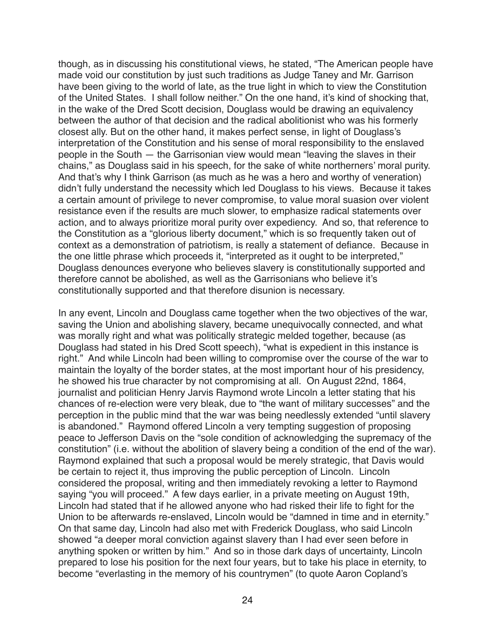though, as in discussing his constitutional views, he stated, "The American people have made void our constitution by just such traditions as Judge Taney and Mr. Garrison have been giving to the world of late, as the true light in which to view the Constitution of the United States. I shall follow neither." On the one hand, it's kind of shocking that, in the wake of the Dred Scott decision, Douglass would be drawing an equivalency between the author of that decision and the radical abolitionist who was his formerly closest ally. But on the other hand, it makes perfect sense, in light of Douglass's interpretation of the Constitution and his sense of moral responsibility to the enslaved people in the South — the Garrisonian view would mean "leaving the slaves in their chains," as Douglass said in his speech, for the sake of white northerners' moral purity. And that's why I think Garrison (as much as he was a hero and worthy of veneration) didn't fully understand the necessity which led Douglass to his views. Because it takes a certain amount of privilege to never compromise, to value moral suasion over violent resistance even if the results are much slower, to emphasize radical statements over action, and to always prioritize moral purity over expediency. And so, that reference to the Constitution as a "glorious liberty document," which is so frequently taken out of context as a demonstration of patriotism, is really a statement of defiance. Because in the one little phrase which proceeds it, "interpreted as it ought to be interpreted," Douglass denounces everyone who believes slavery is constitutionally supported and therefore cannot be abolished, as well as the Garrisonians who believe it's constitutionally supported and that therefore disunion is necessary.

In any event, Lincoln and Douglass came together when the two objectives of the war, saving the Union and abolishing slavery, became unequivocally connected, and what was morally right and what was politically strategic melded together, because (as Douglass had stated in his Dred Scott speech), "what is expedient in this instance is right." And while Lincoln had been willing to compromise over the course of the war to maintain the loyalty of the border states, at the most important hour of his presidency, he showed his true character by not compromising at all. On August 22nd, 1864, journalist and politician Henry Jarvis Raymond wrote Lincoln a letter stating that his chances of re-election were very bleak, due to "the want of military successes" and the perception in the public mind that the war was being needlessly extended "until slavery is abandoned." Raymond offered Lincoln a very tempting suggestion of proposing peace to Jefferson Davis on the "sole condition of acknowledging the supremacy of the constitution" (i.e. without the abolition of slavery being a condition of the end of the war). Raymond explained that such a proposal would be merely strategic, that Davis would be certain to reject it, thus improving the public perception of Lincoln. Lincoln considered the proposal, writing and then immediately revoking a letter to Raymond saying "you will proceed." A few days earlier, in a private meeting on August 19th, Lincoln had stated that if he allowed anyone who had risked their life to fight for the Union to be afterwards re-enslaved, Lincoln would be "damned in time and in eternity." On that same day, Lincoln had also met with Frederick Douglass, who said Lincoln showed "a deeper moral conviction against slavery than I had ever seen before in anything spoken or written by him." And so in those dark days of uncertainty, Lincoln prepared to lose his position for the next four years, but to take his place in eternity, to become "everlasting in the memory of his countrymen" (to quote Aaron Copland's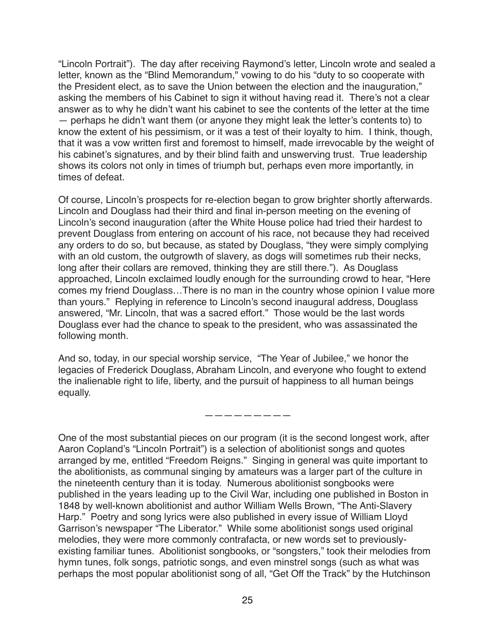"Lincoln Portrait"). The day after receiving Raymond's letter, Lincoln wrote and sealed a letter, known as the "Blind Memorandum," vowing to do his "duty to so cooperate with the President elect, as to save the Union between the election and the inauguration," asking the members of his Cabinet to sign it without having read it. There's not a clear answer as to why he didn't want his cabinet to see the contents of the letter at the time — perhaps he didn't want them (or anyone they might leak the letter's contents to) to know the extent of his pessimism, or it was a test of their loyalty to him. I think, though, that it was a vow written first and foremost to himself, made irrevocable by the weight of his cabinet's signatures, and by their blind faith and unswerving trust. True leadership shows its colors not only in times of triumph but, perhaps even more importantly, in times of defeat.

Of course, Lincoln's prospects for re-election began to grow brighter shortly afterwards. Lincoln and Douglass had their third and final in-person meeting on the evening of Lincoln's second inauguration (after the White House police had tried their hardest to prevent Douglass from entering on account of his race, not because they had received any orders to do so, but because, as stated by Douglass, "they were simply complying with an old custom, the outgrowth of slavery, as dogs will sometimes rub their necks, long after their collars are removed, thinking they are still there."). As Douglass approached, Lincoln exclaimed loudly enough for the surrounding crowd to hear, "Here comes my friend Douglass…There is no man in the country whose opinion I value more than yours." Replying in reference to Lincoln's second inaugural address, Douglass answered, "Mr. Lincoln, that was a sacred effort." Those would be the last words Douglass ever had the chance to speak to the president, who was assassinated the following month.

And so, today, in our special worship service, "The Year of Jubilee," we honor the legacies of Frederick Douglass, Abraham Lincoln, and everyone who fought to extend the inalienable right to life, liberty, and the pursuit of happiness to all human beings equally.

—————————

One of the most substantial pieces on our program (it is the second longest work, after Aaron Copland's "Lincoln Portrait") is a selection of abolitionist songs and quotes arranged by me, entitled "Freedom Reigns." Singing in general was quite important to the abolitionists, as communal singing by amateurs was a larger part of the culture in the nineteenth century than it is today. Numerous abolitionist songbooks were published in the years leading up to the Civil War, including one published in Boston in 1848 by well-known abolitionist and author William Wells Brown, "The Anti-Slavery Harp." Poetry and song lyrics were also published in every issue of William Lloyd Garrison's newspaper "The Liberator." While some abolitionist songs used original melodies, they were more commonly contrafacta, or new words set to previouslyexisting familiar tunes. Abolitionist songbooks, or "songsters," took their melodies from hymn tunes, folk songs, patriotic songs, and even minstrel songs (such as what was perhaps the most popular abolitionist song of all, "Get Off the Track" by the Hutchinson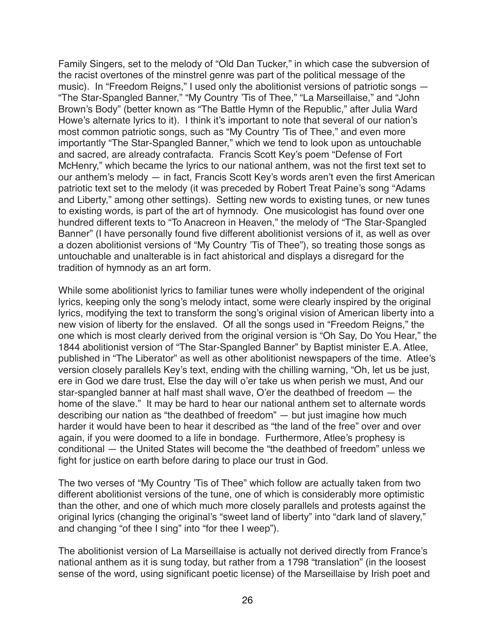Family Singers, set to the melody of "Old Dan Tucker," in which case the subversion of the racist overtones of the minstrel genre was part of the political message of the music). In "Freedom Reigns," I used only the abolitionist versions of patriotic songs — "The Star-Spangled Banner," "My Country 'Tis of Thee," "La Marseillaise," and "John Brown's Body" (better known as "The Battle Hymn of the Republic," after Julia Ward Howe's alternate lyrics to it). I think it's important to note that several of our nation's most common patriotic songs, such as "My Country 'Tis of Thee," and even more importantly "The Star-Spangled Banner," which we tend to look upon as untouchable and sacred, are already contrafacta. Francis Scott Key's poem "Defense of Fort McHenry," which became the lyrics to our national anthem, was not the first text set to our anthem's melody — in fact, Francis Scott Key's words aren't even the first American patriotic text set to the melody (it was preceded by Robert Treat Paine's song "Adams and Liberty," among other settings). Setting new words to existing tunes, or new tunes to existing words, is part of the art of hymnody. One musicologist has found over one hundred different texts to "To Anacreon in Heaven," the melody of "The Star-Spangled Banner" (I have personally found five different abolitionist versions of it, as well as over a dozen abolitionist versions of "My Country 'Tis of Thee"), so treating those songs as untouchable and unalterable is in fact ahistorical and displays a disregard for the tradition of hymnody as an art form.

While some abolitionist lyrics to familiar tunes were wholly independent of the original lyrics, keeping only the song's melody intact, some were clearly inspired by the original lyrics, modifying the text to transform the song's original vision of American liberty into a new vision of liberty for the enslaved. Of all the songs used in "Freedom Reigns," the one which is most clearly derived from the original version is "Oh Say, Do You Hear," the 1844 abolitionist version of "The Star-Spangled Banner" by Baptist minister E.A. Atlee, published in "The Liberator" as well as other abolitionist newspapers of the time. Atlee's version closely parallels Key's text, ending with the chilling warning, "Oh, let us be just, ere in God we dare trust, Else the day will o'er take us when perish we must, And our star-spangled banner at half mast shall wave, O'er the deathbed of freedom — the home of the slave." It may be hard to hear our national anthem set to alternate words describing our nation as "the deathbed of freedom" — but just imagine how much harder it would have been to hear it described as "the land of the free" over and over again, if you were doomed to a life in bondage. Furthermore, Atlee's prophesy is conditional — the United States will become the "the deathbed of freedom" unless we fight for justice on earth before daring to place our trust in God.

The two verses of "My Country 'Tis of Thee" which follow are actually taken from two different abolitionist versions of the tune, one of which is considerably more optimistic than the other, and one of which much more closely parallels and protests against the original lyrics (changing the original's "sweet land of liberty" into "dark land of slavery," and changing "of thee I sing" into "for thee I weep").

The abolitionist version of La Marseillaise is actually not derived directly from France's national anthem as it is sung today, but rather from a 1798 "translation" (in the loosest sense of the word, using significant poetic license) of the Marseillaise by Irish poet and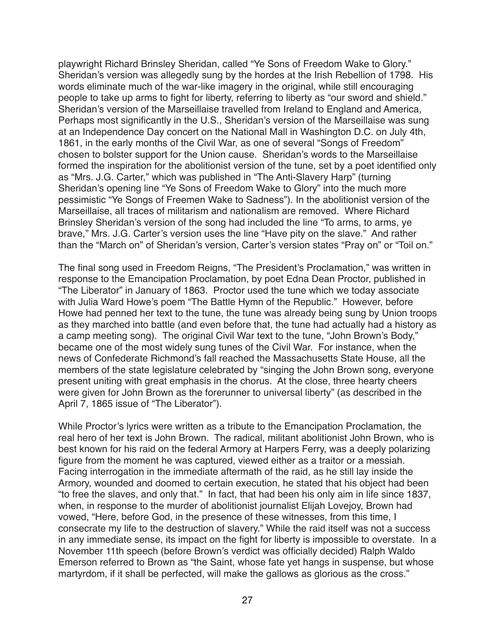playwright Richard Brinsley Sheridan, called "Ye Sons of Freedom Wake to Glory." Sheridan's version was allegedly sung by the hordes at the Irish Rebellion of 1798. His words eliminate much of the war-like imagery in the original, while still encouraging people to take up arms to fight for liberty, referring to liberty as "our sword and shield." Sheridan's version of the Marseillaise travelled from Ireland to England and America, Perhaps most significantly in the U.S., Sheridan's version of the Marseillaise was sung at an Independence Day concert on the National Mall in Washington D.C. on July 4th, 1861, in the early months of the Civil War, as one of several "Songs of Freedom" chosen to bolster support for the Union cause. Sheridan's words to the Marseillaise formed the inspiration for the abolitionist version of the tune, set by a poet identified only as "Mrs. J.G. Carter," which was published in "The Anti-Slavery Harp" (turning Sheridan's opening line "Ye Sons of Freedom Wake to Glory" into the much more pessimistic "Ye Songs of Freemen Wake to Sadness"). In the abolitionist version of the Marseillaise, all traces of militarism and nationalism are removed. Where Richard Brinsley Sheridan's version of the song had included the line "To arms, to arms, ye brave," Mrs. J.G. Carter's version uses the line "Have pity on the slave." And rather than the "March on" of Sheridan's version, Carter's version states "Pray on" or "Toil on."

The final song used in Freedom Reigns, "The President's Proclamation," was written in response to the Emancipation Proclamation, by poet Edna Dean Proctor, published in "The Liberator" in January of 1863. Proctor used the tune which we today associate with Julia Ward Howe's poem "The Battle Hymn of the Republic." However, before Howe had penned her text to the tune, the tune was already being sung by Union troops as they marched into battle (and even before that, the tune had actually had a history as a camp meeting song). The original Civil War text to the tune, "John Brown's Body," became one of the most widely sung tunes of the Civil War. For instance, when the news of Confederate Richmond's fall reached the Massachusetts State House, all the members of the state legislature celebrated by "singing the John Brown song, everyone present uniting with great emphasis in the chorus. At the close, three hearty cheers were given for John Brown as the forerunner to universal liberty" (as described in the April 7, 1865 issue of "The Liberator").

While Proctor's lyrics were written as a tribute to the Emancipation Proclamation, the real hero of her text is John Brown. The radical, militant abolitionist John Brown, who is best known for his raid on the federal Armory at Harpers Ferry, was a deeply polarizing figure from the moment he was captured, viewed either as a traitor or a messiah. Facing interrogation in the immediate aftermath of the raid, as he still lay inside the Armory, wounded and doomed to certain execution, he stated that his object had been "to free the slaves, and only that." In fact, that had been his only aim in life since 1837, when, in response to the murder of abolitionist journalist Elijah Lovejoy, Brown had vowed, "Here, before God, in the presence of these witnesses, from this time, I consecrate my life to the destruction of slavery." While the raid itself was not a success in any immediate sense, its impact on the fight for liberty is impossible to overstate. In a November 11th speech (before Brown's verdict was officially decided) Ralph Waldo Emerson referred to Brown as "the Saint, whose fate yet hangs in suspense, but whose martyrdom, if it shall be perfected, will make the gallows as glorious as the cross."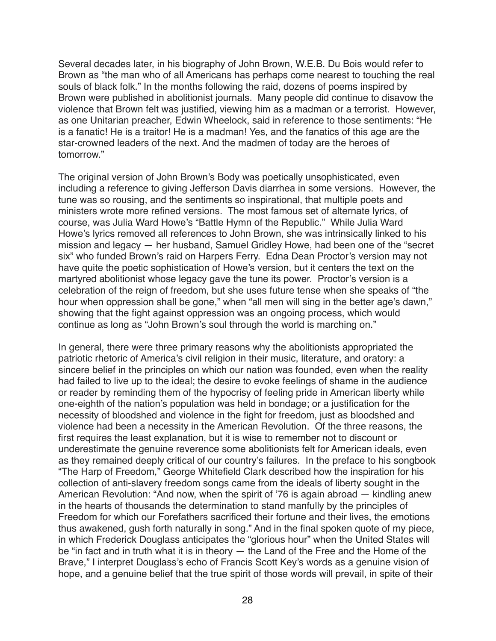Several decades later, in his biography of John Brown, W.E.B. Du Bois would refer to Brown as "the man who of all Americans has perhaps come nearest to touching the real souls of black folk." In the months following the raid, dozens of poems inspired by Brown were published in abolitionist journals. Many people did continue to disavow the violence that Brown felt was justified, viewing him as a madman or a terrorist. However, as one Unitarian preacher, Edwin Wheelock, said in reference to those sentiments: "He is a fanatic! He is a traitor! He is a madman! Yes, and the fanatics of this age are the star-crowned leaders of the next. And the madmen of today are the heroes of tomorrow."

The original version of John Brown's Body was poetically unsophisticated, even including a reference to giving Jefferson Davis diarrhea in some versions. However, the tune was so rousing, and the sentiments so inspirational, that multiple poets and ministers wrote more refined versions. The most famous set of alternate lyrics, of course, was Julia Ward Howe's "Battle Hymn of the Republic." While Julia Ward Howe's lyrics removed all references to John Brown, she was intrinsically linked to his mission and legacy — her husband, Samuel Gridley Howe, had been one of the "secret six" who funded Brown's raid on Harpers Ferry. Edna Dean Proctor's version may not have quite the poetic sophistication of Howe's version, but it centers the text on the martyred abolitionist whose legacy gave the tune its power. Proctor's version is a celebration of the reign of freedom, but she uses future tense when she speaks of "the hour when oppression shall be gone," when "all men will sing in the better age's dawn," showing that the fight against oppression was an ongoing process, which would continue as long as "John Brown's soul through the world is marching on."

In general, there were three primary reasons why the abolitionists appropriated the patriotic rhetoric of America's civil religion in their music, literature, and oratory: a sincere belief in the principles on which our nation was founded, even when the reality had failed to live up to the ideal; the desire to evoke feelings of shame in the audience or reader by reminding them of the hypocrisy of feeling pride in American liberty while one-eighth of the nation's population was held in bondage; or a justification for the necessity of bloodshed and violence in the fight for freedom, just as bloodshed and violence had been a necessity in the American Revolution. Of the three reasons, the first requires the least explanation, but it is wise to remember not to discount or underestimate the genuine reverence some abolitionists felt for American ideals, even as they remained deeply critical of our country's failures. In the preface to his songbook "The Harp of Freedom," George Whitefield Clark described how the inspiration for his collection of anti-slavery freedom songs came from the ideals of liberty sought in the American Revolution: "And now, when the spirit of '76 is again abroad — kindling anew in the hearts of thousands the determination to stand manfully by the principles of Freedom for which our Forefathers sacrificed their fortune and their lives, the emotions thus awakened, gush forth naturally in song." And in the final spoken quote of my piece, in which Frederick Douglass anticipates the "glorious hour" when the United States will be "in fact and in truth what it is in theory — the Land of the Free and the Home of the Brave," I interpret Douglass's echo of Francis Scott Key's words as a genuine vision of hope, and a genuine belief that the true spirit of those words will prevail, in spite of their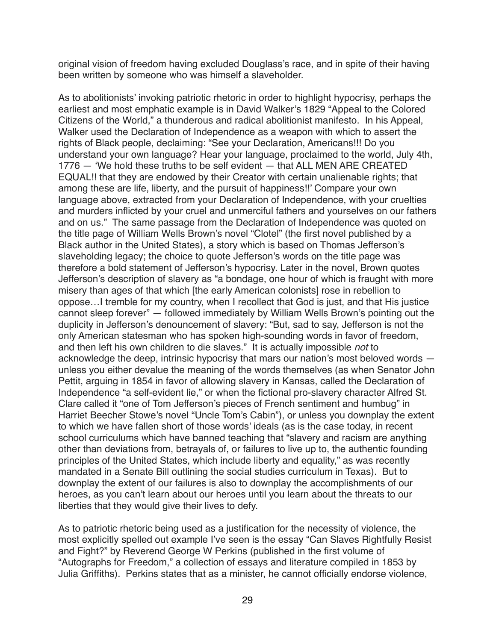original vision of freedom having excluded Douglass's race, and in spite of their having been written by someone who was himself a slaveholder.

As to abolitionists' invoking patriotic rhetoric in order to highlight hypocrisy, perhaps the earliest and most emphatic example is in David Walker's 1829 "Appeal to the Colored Citizens of the World," a thunderous and radical abolitionist manifesto. In his Appeal, Walker used the Declaration of Independence as a weapon with which to assert the rights of Black people, declaiming: "See your Declaration, Americans!!! Do you understand your own language? Hear your language, proclaimed to the world, July 4th, 1776 — 'We hold these truths to be self evident — that ALL MEN ARE CREATED EQUAL!! that they are endowed by their Creator with certain unalienable rights; that among these are life, liberty, and the pursuit of happiness!!' Compare your own language above, extracted from your Declaration of Independence, with your cruelties and murders inflicted by your cruel and unmerciful fathers and yourselves on our fathers and on us." The same passage from the Declaration of Independence was quoted on the title page of William Wells Brown's novel "Clotel" (the first novel published by a Black author in the United States), a story which is based on Thomas Jefferson's slaveholding legacy; the choice to quote Jefferson's words on the title page was therefore a bold statement of Jefferson's hypocrisy. Later in the novel, Brown quotes Jefferson's description of slavery as "a bondage, one hour of which is fraught with more misery than ages of that which [the early American colonists] rose in rebellion to oppose…I tremble for my country, when I recollect that God is just, and that His justice cannot sleep forever" — followed immediately by William Wells Brown's pointing out the duplicity in Jefferson's denouncement of slavery: "But, sad to say, Jefferson is not the only American statesman who has spoken high-sounding words in favor of freedom, and then left his own children to die slaves." It is actually impossible *not* to acknowledge the deep, intrinsic hypocrisy that mars our nation's most beloved words unless you either devalue the meaning of the words themselves (as when Senator John Pettit, arguing in 1854 in favor of allowing slavery in Kansas, called the Declaration of Independence "a self-evident lie," or when the fictional pro-slavery character Alfred St. Clare called it "one of Tom Jefferson's pieces of French sentiment and humbug" in Harriet Beecher Stowe's novel "Uncle Tom's Cabin"), or unless you downplay the extent to which we have fallen short of those words' ideals (as is the case today, in recent school curriculums which have banned teaching that "slavery and racism are anything other than deviations from, betrayals of, or failures to live up to, the authentic founding principles of the United States, which include liberty and equality," as was recently mandated in a Senate Bill outlining the social studies curriculum in Texas). But to downplay the extent of our failures is also to downplay the accomplishments of our heroes, as you can't learn about our heroes until you learn about the threats to our liberties that they would give their lives to defy.

As to patriotic rhetoric being used as a justification for the necessity of violence, the most explicitly spelled out example I've seen is the essay "Can Slaves Rightfully Resist and Fight?" by Reverend George W Perkins (published in the first volume of "Autographs for Freedom," a collection of essays and literature compiled in 1853 by Julia Griffiths). Perkins states that as a minister, he cannot officially endorse violence,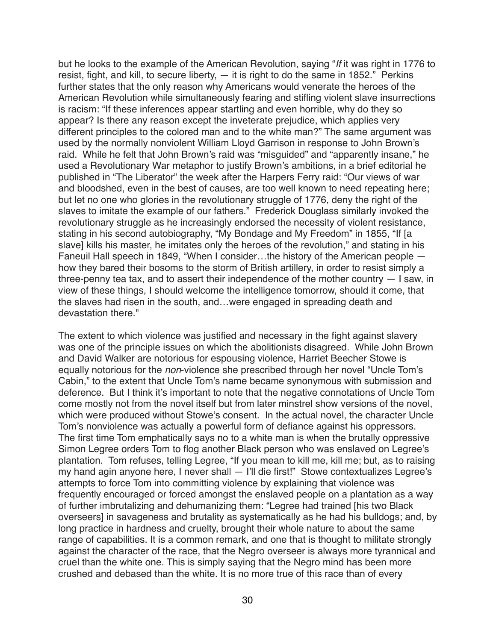but he looks to the example of the American Revolution, saying "*If* it was right in 1776 to resist, fight, and kill, to secure liberty, — it is right to do the same in 1852." Perkins further states that the only reason why Americans would venerate the heroes of the American Revolution while simultaneously fearing and stifling violent slave insurrections is racism: "If these inferences appear startling and even horrible, why do they so appear? Is there any reason except the inveterate prejudice, which applies very different principles to the colored man and to the white man?" The same argument was used by the normally nonviolent William Lloyd Garrison in response to John Brown's raid. While he felt that John Brown's raid was "misguided" and "apparently insane," he used a Revolutionary War metaphor to justify Brown's ambitions, in a brief editorial he published in "The Liberator" the week after the Harpers Ferry raid: "Our views of war and bloodshed, even in the best of causes, are too well known to need repeating here; but let no one who glories in the revolutionary struggle of 1776, deny the right of the slaves to imitate the example of our fathers." Frederick Douglass similarly invoked the revolutionary struggle as he increasingly endorsed the necessity of violent resistance, stating in his second autobiography, "My Bondage and My Freedom" in 1855, "If [a slave] kills his master, he imitates only the heroes of the revolution," and stating in his Faneuil Hall speech in 1849, "When I consider…the history of the American people how they bared their bosoms to the storm of British artillery, in order to resist simply a three-penny tea tax, and to assert their independence of the mother country — I saw, in view of these things, I should welcome the intelligence tomorrow, should it come, that the slaves had risen in the south, and…were engaged in spreading death and devastation there."

The extent to which violence was justified and necessary in the fight against slavery was one of the principle issues on which the abolitionists disagreed. While John Brown and David Walker are notorious for espousing violence, Harriet Beecher Stowe is equally notorious for the *non*-violence she prescribed through her novel "Uncle Tom's Cabin," to the extent that Uncle Tom's name became synonymous with submission and deference. But I think it's important to note that the negative connotations of Uncle Tom come mostly not from the novel itself but from later minstrel show versions of the novel, which were produced without Stowe's consent. In the actual novel, the character Uncle Tom's nonviolence was actually a powerful form of defiance against his oppressors. The first time Tom emphatically says no to a white man is when the brutally oppressive Simon Legree orders Tom to flog another Black person who was enslaved on Legree's plantation. Tom refuses, telling Legree, "If you mean to kill me, kill me; but, as to raising my hand agin anyone here, I never shall — I'll die first!" Stowe contextualizes Legree's attempts to force Tom into committing violence by explaining that violence was frequently encouraged or forced amongst the enslaved people on a plantation as a way of further imbrutalizing and dehumanizing them: "Legree had trained [his two Black overseers] in savageness and brutality as systematically as he had his bulldogs; and, by long practice in hardness and cruelty, brought their whole nature to about the same range of capabilities. It is a common remark, and one that is thought to militate strongly against the character of the race, that the Negro overseer is always more tyrannical and cruel than the white one. This is simply saying that the Negro mind has been more crushed and debased than the white. It is no more true of this race than of every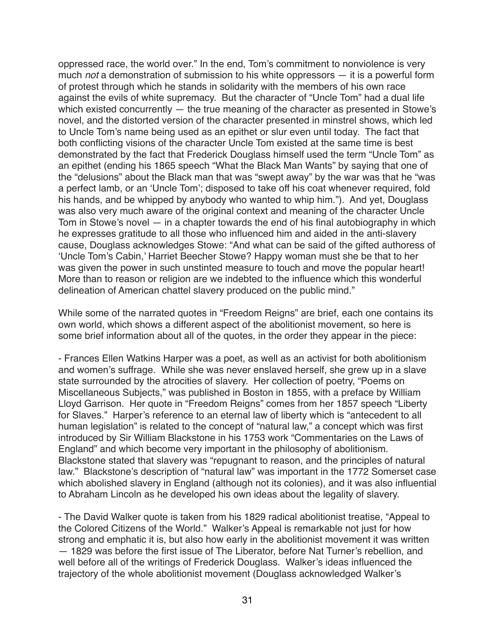oppressed race, the world over." In the end, Tom's commitment to nonviolence is very much *not* a demonstration of submission to his white oppressors — it is a powerful form of protest through which he stands in solidarity with the members of his own race against the evils of white supremacy. But the character of "Uncle Tom" had a dual life which existed concurrently — the true meaning of the character as presented in Stowe's novel, and the distorted version of the character presented in minstrel shows, which led to Uncle Tom's name being used as an epithet or slur even until today. The fact that both conflicting visions of the character Uncle Tom existed at the same time is best demonstrated by the fact that Frederick Douglass himself used the term "Uncle Tom" as an epithet (ending his 1865 speech "What the Black Man Wants" by saying that one of the "delusions" about the Black man that was "swept away" by the war was that he "was a perfect lamb, or an 'Uncle Tom'; disposed to take off his coat whenever required, fold his hands, and be whipped by anybody who wanted to whip him."). And yet, Douglass was also very much aware of the original context and meaning of the character Uncle Tom in Stowe's novel — in a chapter towards the end of his final autobiography in which he expresses gratitude to all those who influenced him and aided in the anti-slavery cause, Douglass acknowledges Stowe: "And what can be said of the gifted authoress of 'Uncle Tom's Cabin,' Harriet Beecher Stowe? Happy woman must she be that to her was given the power in such unstinted measure to touch and move the popular heart! More than to reason or religion are we indebted to the influence which this wonderful delineation of American chattel slavery produced on the public mind."

While some of the narrated quotes in "Freedom Reigns" are brief, each one contains its own world, which shows a different aspect of the abolitionist movement, so here is some brief information about all of the quotes, in the order they appear in the piece:

- Frances Ellen Watkins Harper was a poet, as well as an activist for both abolitionism and women's suffrage. While she was never enslaved herself, she grew up in a slave state surrounded by the atrocities of slavery. Her collection of poetry, "Poems on Miscellaneous Subjects," was published in Boston in 1855, with a preface by William Lloyd Garrison. Her quote in "Freedom Reigns" comes from her 1857 speech "Liberty for Slaves." Harper's reference to an eternal law of liberty which is "antecedent to all human legislation" is related to the concept of "natural law," a concept which was first introduced by Sir William Blackstone in his 1753 work "Commentaries on the Laws of England" and which become very important in the philosophy of abolitionism. Blackstone stated that slavery was "repugnant to reason, and the principles of natural law." Blackstone's description of "natural law" was important in the 1772 Somerset case which abolished slavery in England (although not its colonies), and it was also influential to Abraham Lincoln as he developed his own ideas about the legality of slavery.

- The David Walker quote is taken from his 1829 radical abolitionist treatise, "Appeal to the Colored Citizens of the World." Walker's Appeal is remarkable not just for how strong and emphatic it is, but also how early in the abolitionist movement it was written — 1829 was before the first issue of The Liberator, before Nat Turner's rebellion, and well before all of the writings of Frederick Douglass. Walker's ideas influenced the trajectory of the whole abolitionist movement (Douglass acknowledged Walker's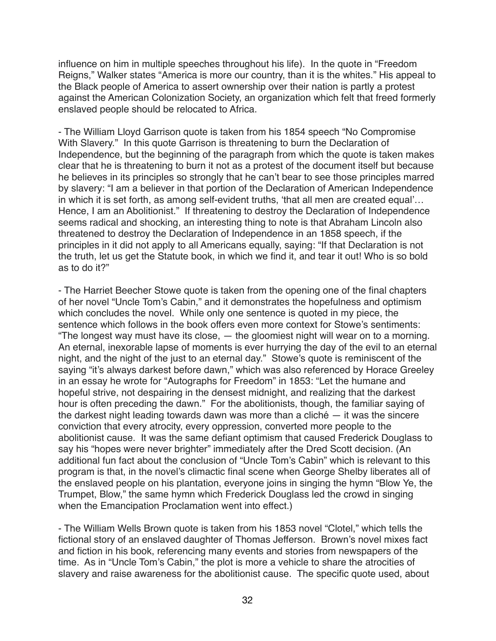influence on him in multiple speeches throughout his life). In the quote in "Freedom Reigns," Walker states "America is more our country, than it is the whites." His appeal to the Black people of America to assert ownership over their nation is partly a protest against the American Colonization Society, an organization which felt that freed formerly enslaved people should be relocated to Africa.

- The William Lloyd Garrison quote is taken from his 1854 speech "No Compromise With Slavery." In this quote Garrison is threatening to burn the Declaration of Independence, but the beginning of the paragraph from which the quote is taken makes clear that he is threatening to burn it not as a protest of the document itself but because he believes in its principles so strongly that he can't bear to see those principles marred by slavery: "I am a believer in that portion of the Declaration of American Independence in which it is set forth, as among self-evident truths, 'that all men are created equal'… Hence, I am an Abolitionist." If threatening to destroy the Declaration of Independence seems radical and shocking, an interesting thing to note is that Abraham Lincoln also threatened to destroy the Declaration of Independence in an 1858 speech, if the principles in it did not apply to all Americans equally, saying: "If that Declaration is not the truth, let us get the Statute book, in which we find it, and tear it out! Who is so bold as to do it?"

- The Harriet Beecher Stowe quote is taken from the opening one of the final chapters of her novel "Uncle Tom's Cabin," and it demonstrates the hopefulness and optimism which concludes the novel. While only one sentence is quoted in my piece, the sentence which follows in the book offers even more context for Stowe's sentiments: "The longest way must have its close, — the gloomiest night will wear on to a morning. An eternal, inexorable lapse of moments is ever hurrying the day of the evil to an eternal night, and the night of the just to an eternal day." Stowe's quote is reminiscent of the saying "it's always darkest before dawn," which was also referenced by Horace Greeley in an essay he wrote for "Autographs for Freedom" in 1853: "Let the humane and hopeful strive, not despairing in the densest midnight, and realizing that the darkest hour is often preceding the dawn." For the abolitionists, though, the familiar saying of the darkest night leading towards dawn was more than a cliché — it was the sincere conviction that every atrocity, every oppression, converted more people to the abolitionist cause. It was the same defiant optimism that caused Frederick Douglass to say his "hopes were never brighter" immediately after the Dred Scott decision. (An additional fun fact about the conclusion of "Uncle Tom's Cabin" which is relevant to this program is that, in the novel's climactic final scene when George Shelby liberates all of the enslaved people on his plantation, everyone joins in singing the hymn "Blow Ye, the Trumpet, Blow," the same hymn which Frederick Douglass led the crowd in singing when the Emancipation Proclamation went into effect.)

- The William Wells Brown quote is taken from his 1853 novel "Clotel," which tells the fictional story of an enslaved daughter of Thomas Jefferson. Brown's novel mixes fact and fiction in his book, referencing many events and stories from newspapers of the time. As in "Uncle Tom's Cabin," the plot is more a vehicle to share the atrocities of slavery and raise awareness for the abolitionist cause. The specific quote used, about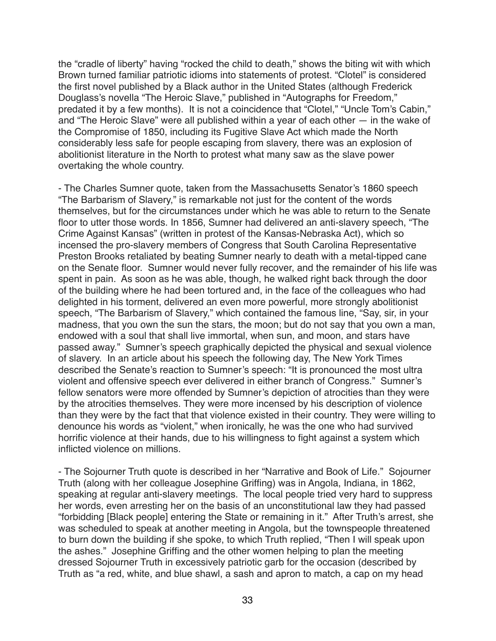the "cradle of liberty" having "rocked the child to death," shows the biting wit with which Brown turned familiar patriotic idioms into statements of protest. "Clotel" is considered the first novel published by a Black author in the United States (although Frederick Douglass's novella "The Heroic Slave," published in "Autographs for Freedom," predated it by a few months). It is not a coincidence that "Clotel," "Uncle Tom's Cabin," and "The Heroic Slave" were all published within a year of each other — in the wake of the Compromise of 1850, including its Fugitive Slave Act which made the North considerably less safe for people escaping from slavery, there was an explosion of abolitionist literature in the North to protest what many saw as the slave power overtaking the whole country.

- The Charles Sumner quote, taken from the Massachusetts Senator's 1860 speech "The Barbarism of Slavery," is remarkable not just for the content of the words themselves, but for the circumstances under which he was able to return to the Senate floor to utter those words. In 1856, Sumner had delivered an anti-slavery speech, "The Crime Against Kansas" (written in protest of the Kansas-Nebraska Act), which so incensed the pro-slavery members of Congress that South Carolina Representative Preston Brooks retaliated by beating Sumner nearly to death with a metal-tipped cane on the Senate floor. Sumner would never fully recover, and the remainder of his life was spent in pain. As soon as he was able, though, he walked right back through the door of the building where he had been tortured and, in the face of the colleagues who had delighted in his torment, delivered an even more powerful, more strongly abolitionist speech, "The Barbarism of Slavery," which contained the famous line, "Say, sir, in your madness, that you own the sun the stars, the moon; but do not say that you own a man, endowed with a soul that shall live immortal, when sun, and moon, and stars have passed away." Sumner's speech graphically depicted the physical and sexual violence of slavery. In an article about his speech the following day, The New York Times described the Senate's reaction to Sumner's speech: "It is pronounced the most ultra violent and offensive speech ever delivered in either branch of Congress." Sumner's fellow senators were more offended by Sumner's depiction of atrocities than they were by the atrocities themselves. They were more incensed by his description of violence than they were by the fact that that violence existed in their country. They were willing to denounce his words as "violent," when ironically, he was the one who had survived horrific violence at their hands, due to his willingness to fight against a system which inflicted violence on millions.

- The Sojourner Truth quote is described in her "Narrative and Book of Life." Sojourner Truth (along with her colleague Josephine Griffing) was in Angola, Indiana, in 1862, speaking at regular anti-slavery meetings. The local people tried very hard to suppress her words, even arresting her on the basis of an unconstitutional law they had passed "forbidding [Black people] entering the State or remaining in it." After Truth's arrest, she was scheduled to speak at another meeting in Angola, but the townspeople threatened to burn down the building if she spoke, to which Truth replied, "Then I will speak upon the ashes." Josephine Griffing and the other women helping to plan the meeting dressed Sojourner Truth in excessively patriotic garb for the occasion (described by Truth as "a red, white, and blue shawl, a sash and apron to match, a cap on my head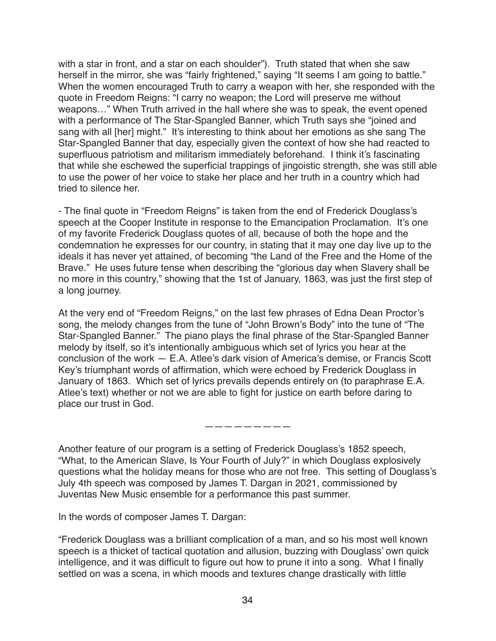with a star in front, and a star on each shoulder"). Truth stated that when she saw herself in the mirror, she was "fairly frightened," saying "It seems I am going to battle." When the women encouraged Truth to carry a weapon with her, she responded with the quote in Freedom Reigns: "I carry no weapon; the Lord will preserve me without weapons…" When Truth arrived in the hall where she was to speak, the event opened with a performance of The Star-Spangled Banner, which Truth says she "joined and sang with all [her] might." It's interesting to think about her emotions as she sang The Star-Spangled Banner that day, especially given the context of how she had reacted to superfluous patriotism and militarism immediately beforehand. I think it's fascinating that while she eschewed the superficial trappings of jingoistic strength, she was still able to use the power of her voice to stake her place and her truth in a country which had tried to silence her.

- The final quote in "Freedom Reigns" is taken from the end of Frederick Douglass's speech at the Cooper Institute in response to the Emancipation Proclamation. It's one of my favorite Frederick Douglass quotes of all, because of both the hope and the condemnation he expresses for our country, in stating that it may one day live up to the ideals it has never yet attained, of becoming "the Land of the Free and the Home of the Brave." He uses future tense when describing the "glorious day when Slavery shall be no more in this country," showing that the 1st of January, 1863, was just the first step of a long journey.

At the very end of "Freedom Reigns," on the last few phrases of Edna Dean Proctor's song, the melody changes from the tune of "John Brown's Body" into the tune of "The Star-Spangled Banner." The piano plays the final phrase of the Star-Spangled Banner melody by itself, so it's intentionally ambiguous which set of lyrics you hear at the conclusion of the work — E.A. Atlee's dark vision of America's demise, or Francis Scott Key's triumphant words of affirmation, which were echoed by Frederick Douglass in January of 1863. Which set of lyrics prevails depends entirely on (to paraphrase E.A. Atlee's text) whether or not we are able to fight for justice on earth before daring to place our trust in God.

## —————————

Another feature of our program is a setting of Frederick Douglass's 1852 speech, "What, to the American Slave, Is Your Fourth of July?" in which Douglass explosively questions what the holiday means for those who are not free. This setting of Douglass's July 4th speech was composed by James T. Dargan in 2021, commissioned by Juventas New Music ensemble for a performance this past summer.

In the words of composer James T. Dargan:

"Frederick Douglass was a brilliant complication of a man, and so his most well known speech is a thicket of tactical quotation and allusion, buzzing with Douglass' own quick intelligence, and it was difficult to figure out how to prune it into a song. What I finally settled on was a scena, in which moods and textures change drastically with little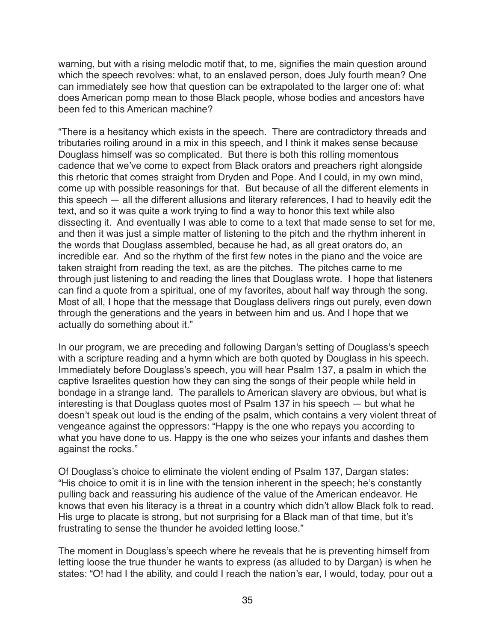warning, but with a rising melodic motif that, to me, signifies the main question around which the speech revolves: what, to an enslaved person, does July fourth mean? One can immediately see how that question can be extrapolated to the larger one of: what does American pomp mean to those Black people, whose bodies and ancestors have been fed to this American machine?

"There is a hesitancy which exists in the speech. There are contradictory threads and tributaries roiling around in a mix in this speech, and I think it makes sense because Douglass himself was so complicated. But there is both this rolling momentous cadence that we've come to expect from Black orators and preachers right alongside this rhetoric that comes straight from Dryden and Pope. And I could, in my own mind, come up with possible reasonings for that. But because of all the different elements in this speech — all the different allusions and literary references, I had to heavily edit the text, and so it was quite a work trying to find a way to honor this text while also dissecting it. And eventually I was able to come to a text that made sense to set for me, and then it was just a simple matter of listening to the pitch and the rhythm inherent in the words that Douglass assembled, because he had, as all great orators do, an incredible ear. And so the rhythm of the first few notes in the piano and the voice are taken straight from reading the text, as are the pitches. The pitches came to me through just listening to and reading the lines that Douglass wrote. I hope that listeners can find a quote from a spiritual, one of my favorites, about half way through the song. Most of all, I hope that the message that Douglass delivers rings out purely, even down through the generations and the years in between him and us. And I hope that we actually do something about it."

In our program, we are preceding and following Dargan's setting of Douglass's speech with a scripture reading and a hymn which are both quoted by Douglass in his speech. Immediately before Douglass's speech, you will hear Psalm 137, a psalm in which the captive Israelites question how they can sing the songs of their people while held in bondage in a strange land. The parallels to American slavery are obvious, but what is interesting is that Douglass quotes most of Psalm 137 in his speech — but what he doesn't speak out loud is the ending of the psalm, which contains a very violent threat of vengeance against the oppressors: "Happy is the one who repays you according to what you have done to us. Happy is the one who seizes your infants and dashes them against the rocks."

Of Douglass's choice to eliminate the violent ending of Psalm 137, Dargan states: "His choice to omit it is in line with the tension inherent in the speech; he's constantly pulling back and reassuring his audience of the value of the American endeavor. He knows that even his literacy is a threat in a country which didn't allow Black folk to read. His urge to placate is strong, but not surprising for a Black man of that time, but it's frustrating to sense the thunder he avoided letting loose."

The moment in Douglass's speech where he reveals that he is preventing himself from letting loose the true thunder he wants to express (as alluded to by Dargan) is when he states: "O! had I the ability, and could I reach the nation's ear, I would, today, pour out a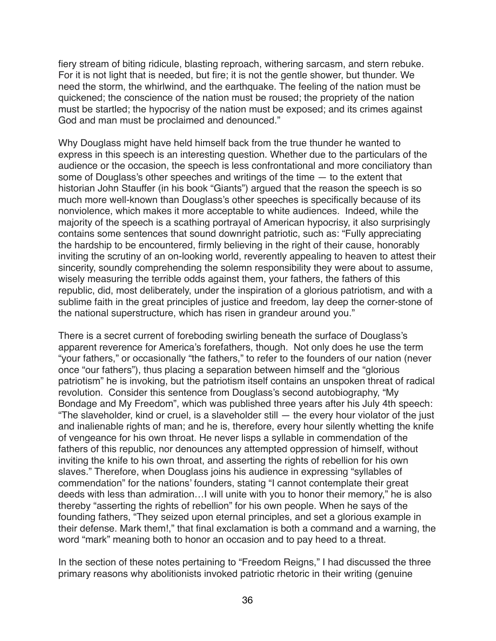fiery stream of biting ridicule, blasting reproach, withering sarcasm, and stern rebuke. For it is not light that is needed, but fire; it is not the gentle shower, but thunder. We need the storm, the whirlwind, and the earthquake. The feeling of the nation must be quickened; the conscience of the nation must be roused; the propriety of the nation must be startled; the hypocrisy of the nation must be exposed; and its crimes against God and man must be proclaimed and denounced."

Why Douglass might have held himself back from the true thunder he wanted to express in this speech is an interesting question. Whether due to the particulars of the audience or the occasion, the speech is less confrontational and more conciliatory than some of Douglass's other speeches and writings of the time — to the extent that historian John Stauffer (in his book "Giants") argued that the reason the speech is so much more well-known than Douglass's other speeches is specifically because of its nonviolence, which makes it more acceptable to white audiences. Indeed, while the majority of the speech is a scathing portrayal of American hypocrisy, it also surprisingly contains some sentences that sound downright patriotic, such as: "Fully appreciating the hardship to be encountered, firmly believing in the right of their cause, honorably inviting the scrutiny of an on-looking world, reverently appealing to heaven to attest their sincerity, soundly comprehending the solemn responsibility they were about to assume, wisely measuring the terrible odds against them, your fathers, the fathers of this republic, did, most deliberately, under the inspiration of a glorious patriotism, and with a sublime faith in the great principles of justice and freedom, lay deep the corner-stone of the national superstructure, which has risen in grandeur around you."

There is a secret current of foreboding swirling beneath the surface of Douglass's apparent reverence for America's forefathers, though. Not only does he use the term "your fathers," or occasionally "the fathers," to refer to the founders of our nation (never once "our fathers"), thus placing a separation between himself and the "glorious patriotism" he is invoking, but the patriotism itself contains an unspoken threat of radical revolution. Consider this sentence from Douglass's second autobiography, "My Bondage and My Freedom", which was published three years after his July 4th speech: "The slaveholder, kind or cruel, is a slaveholder still — the every hour violator of the just and inalienable rights of man; and he is, therefore, every hour silently whetting the knife of vengeance for his own throat. He never lisps a syllable in commendation of the fathers of this republic, nor denounces any attempted oppression of himself, without inviting the knife to his own throat, and asserting the rights of rebellion for his own slaves." Therefore, when Douglass joins his audience in expressing "syllables of commendation" for the nations' founders, stating "I cannot contemplate their great deeds with less than admiration…I will unite with you to honor their memory," he is also thereby "asserting the rights of rebellion" for his own people. When he says of the founding fathers, "They seized upon eternal principles, and set a glorious example in their defense. Mark them!," that final exclamation is both a command and a warning, the word "mark" meaning both to honor an occasion and to pay heed to a threat.

In the section of these notes pertaining to "Freedom Reigns," I had discussed the three primary reasons why abolitionists invoked patriotic rhetoric in their writing (genuine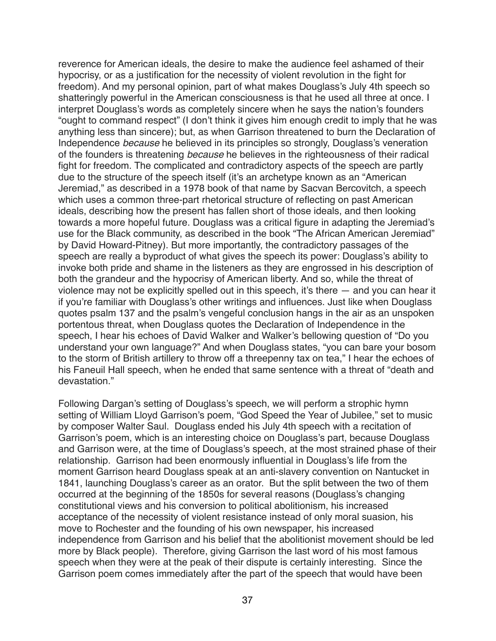reverence for American ideals, the desire to make the audience feel ashamed of their hypocrisy, or as a justification for the necessity of violent revolution in the fight for freedom). And my personal opinion, part of what makes Douglass's July 4th speech so shatteringly powerful in the American consciousness is that he used all three at once. I interpret Douglass's words as completely sincere when he says the nation's founders "ought to command respect" (I don't think it gives him enough credit to imply that he was anything less than sincere); but, as when Garrison threatened to burn the Declaration of Independence *because* he believed in its principles so strongly, Douglass's veneration of the founders is threatening *because* he believes in the righteousness of their radical fight for freedom. The complicated and contradictory aspects of the speech are partly due to the structure of the speech itself (it's an archetype known as an "American Jeremiad," as described in a 1978 book of that name by Sacvan Bercovitch, a speech which uses a common three-part rhetorical structure of reflecting on past American ideals, describing how the present has fallen short of those ideals, and then looking towards a more hopeful future. Douglass was a critical figure in adapting the Jeremiad's use for the Black community, as described in the book "The African American Jeremiad" by David Howard-Pitney). But more importantly, the contradictory passages of the speech are really a byproduct of what gives the speech its power: Douglass's ability to invoke both pride and shame in the listeners as they are engrossed in his description of both the grandeur and the hypocrisy of American liberty. And so, while the threat of violence may not be explicitly spelled out in this speech, it's there — and you can hear it if you're familiar with Douglass's other writings and influences. Just like when Douglass quotes psalm 137 and the psalm's vengeful conclusion hangs in the air as an unspoken portentous threat, when Douglass quotes the Declaration of Independence in the speech, I hear his echoes of David Walker and Walker's bellowing question of "Do you understand your own language?" And when Douglass states, "you can bare your bosom to the storm of British artillery to throw off a threepenny tax on tea," I hear the echoes of his Faneuil Hall speech, when he ended that same sentence with a threat of "death and devastation."

Following Dargan's setting of Douglass's speech, we will perform a strophic hymn setting of William Lloyd Garrison's poem, "God Speed the Year of Jubilee," set to music by composer Walter Saul. Douglass ended his July 4th speech with a recitation of Garrison's poem, which is an interesting choice on Douglass's part, because Douglass and Garrison were, at the time of Douglass's speech, at the most strained phase of their relationship. Garrison had been enormously influential in Douglass's life from the moment Garrison heard Douglass speak at an anti-slavery convention on Nantucket in 1841, launching Douglass's career as an orator. But the split between the two of them occurred at the beginning of the 1850s for several reasons (Douglass's changing constitutional views and his conversion to political abolitionism, his increased acceptance of the necessity of violent resistance instead of only moral suasion, his move to Rochester and the founding of his own newspaper, his increased independence from Garrison and his belief that the abolitionist movement should be led more by Black people). Therefore, giving Garrison the last word of his most famous speech when they were at the peak of their dispute is certainly interesting. Since the Garrison poem comes immediately after the part of the speech that would have been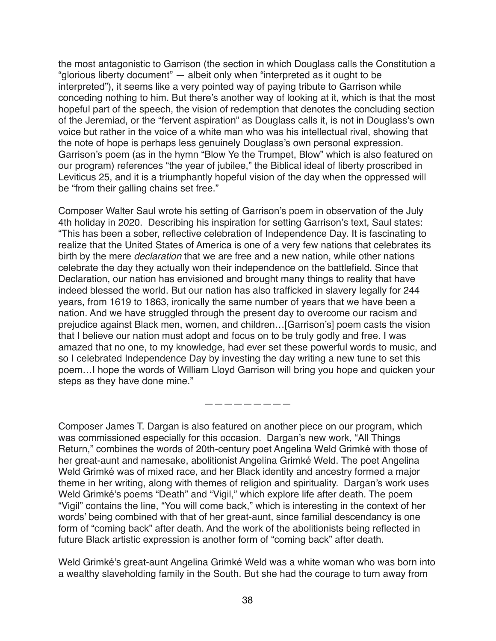the most antagonistic to Garrison (the section in which Douglass calls the Constitution a "glorious liberty document" — albeit only when "interpreted as it ought to be interpreted"), it seems like a very pointed way of paying tribute to Garrison while conceding nothing to him. But there's another way of looking at it, which is that the most hopeful part of the speech, the vision of redemption that denotes the concluding section of the Jeremiad, or the "fervent aspiration" as Douglass calls it, is not in Douglass's own voice but rather in the voice of a white man who was his intellectual rival, showing that the note of hope is perhaps less genuinely Douglass's own personal expression. Garrison's poem (as in the hymn "Blow Ye the Trumpet, Blow" which is also featured on our program) references "the year of jubilee," the Biblical ideal of liberty proscribed in Leviticus 25, and it is a triumphantly hopeful vision of the day when the oppressed will be "from their galling chains set free."

Composer Walter Saul wrote his setting of Garrison's poem in observation of the July 4th holiday in 2020. Describing his inspiration for setting Garrison's text, Saul states: "This has been a sober, reflective celebration of Independence Day. It is fascinating to realize that the United States of America is one of a very few nations that celebrates its birth by the mere *declaration* that we are free and a new nation, while other nations celebrate the day they actually won their independence on the battlefield. Since that Declaration, our nation has envisioned and brought many things to reality that have indeed blessed the world. But our nation has also trafficked in slavery legally for 244 years, from 1619 to 1863, ironically the same number of years that we have been a nation. And we have struggled through the present day to overcome our racism and prejudice against Black men, women, and children…[Garrison's] poem casts the vision that I believe our nation must adopt and focus on to be truly godly and free. I was amazed that no one, to my knowledge, had ever set these powerful words to music, and so I celebrated Independence Day by investing the day writing a new tune to set this poem…I hope the words of William Lloyd Garrison will bring you hope and quicken your steps as they have done mine."

—————————

Composer James T. Dargan is also featured on another piece on our program, which was commissioned especially for this occasion. Dargan's new work, "All Things Return," combines the words of 20th-century poet Angelina Weld Grimké with those of her great-aunt and namesake, abolitionist Angelina Grimké Weld. The poet Angelina Weld Grimké was of mixed race, and her Black identity and ancestry formed a major theme in her writing, along with themes of religion and spirituality. Dargan's work uses Weld Grimké's poems "Death" and "Vigil," which explore life after death. The poem "Vigil" contains the line, "You will come back," which is interesting in the context of her words' being combined with that of her great-aunt, since familial descendancy is one form of "coming back" after death. And the work of the abolitionists being reflected in future Black artistic expression is another form of "coming back" after death.

Weld Grimké's great-aunt Angelina Grimké Weld was a white woman who was born into a wealthy slaveholding family in the South. But she had the courage to turn away from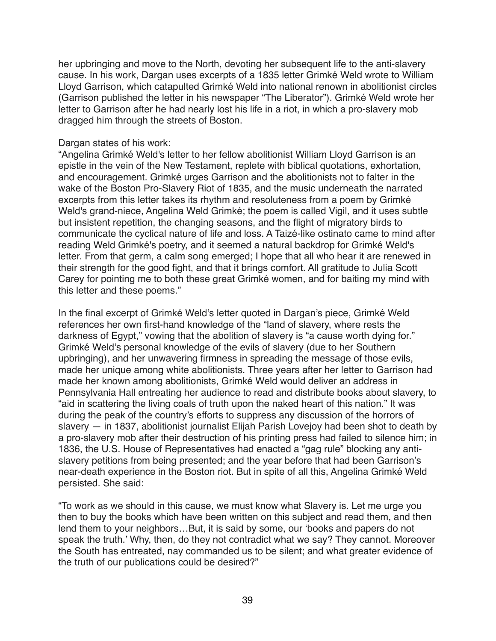her upbringing and move to the North, devoting her subsequent life to the anti-slavery cause. In his work, Dargan uses excerpts of a 1835 letter Grimké Weld wrote to William Lloyd Garrison, which catapulted Grimké Weld into national renown in abolitionist circles (Garrison published the letter in his newspaper "The Liberator"). Grimké Weld wrote her letter to Garrison after he had nearly lost his life in a riot, in which a pro-slavery mob dragged him through the streets of Boston.

#### Dargan states of his work:

"Angelina Grimké Weld's letter to her fellow abolitionist William Lloyd Garrison is an epistle in the vein of the New Testament, replete with biblical quotations, exhortation, and encouragement. Grimké urges Garrison and the abolitionists not to falter in the wake of the Boston Pro-Slavery Riot of 1835, and the music underneath the narrated excerpts from this letter takes its rhythm and resoluteness from a poem by Grimké Weld's grand-niece, Angelina Weld Grimké; the poem is called Vigil, and it uses subtle but insistent repetition, the changing seasons, and the flight of migratory birds to communicate the cyclical nature of life and loss. A Taizé-like ostinato came to mind after reading Weld Grimké's poetry, and it seemed a natural backdrop for Grimké Weld's letter. From that germ, a calm song emerged; I hope that all who hear it are renewed in their strength for the good fight, and that it brings comfort. All gratitude to Julia Scott Carey for pointing me to both these great Grimké women, and for baiting my mind with this letter and these poems."

In the final excerpt of Grimké Weld's letter quoted in Dargan's piece, Grimké Weld references her own first-hand knowledge of the "land of slavery, where rests the darkness of Egypt," vowing that the abolition of slavery is "a cause worth dying for." Grimké Weld's personal knowledge of the evils of slavery (due to her Southern upbringing), and her unwavering firmness in spreading the message of those evils, made her unique among white abolitionists. Three years after her letter to Garrison had made her known among abolitionists, Grimké Weld would deliver an address in Pennsylvania Hall entreating her audience to read and distribute books about slavery, to "aid in scattering the living coals of truth upon the naked heart of this nation." It was during the peak of the country's efforts to suppress any discussion of the horrors of slavery — in 1837, abolitionist journalist Elijah Parish Lovejoy had been shot to death by a pro-slavery mob after their destruction of his printing press had failed to silence him; in 1836, the U.S. House of Representatives had enacted a "gag rule" blocking any antislavery petitions from being presented; and the year before that had been Garrison's near-death experience in the Boston riot. But in spite of all this, Angelina Grimké Weld persisted. She said:

"To work as we should in this cause, we must know what Slavery is. Let me urge you then to buy the books which have been written on this subject and read them, and then lend them to your neighbors…But, it is said by some, our 'books and papers do not speak the truth.' Why, then, do they not contradict what we say? They cannot. Moreover the South has entreated, nay commanded us to be silent; and what greater evidence of the truth of our publications could be desired?"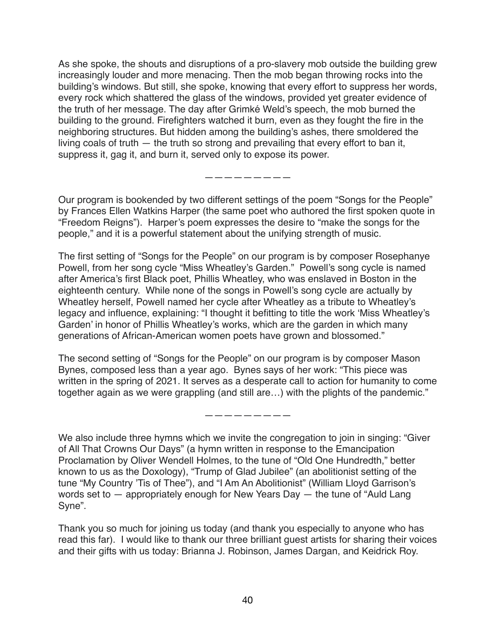As she spoke, the shouts and disruptions of a pro-slavery mob outside the building grew increasingly louder and more menacing. Then the mob began throwing rocks into the building's windows. But still, she spoke, knowing that every effort to suppress her words, every rock which shattered the glass of the windows, provided yet greater evidence of the truth of her message. The day after Grimké Weld's speech, the mob burned the building to the ground. Firefighters watched it burn, even as they fought the fire in the neighboring structures. But hidden among the building's ashes, there smoldered the living coals of truth — the truth so strong and prevailing that every effort to ban it, suppress it, gag it, and burn it, served only to expose its power.

—————————

Our program is bookended by two different settings of the poem "Songs for the People" by Frances Ellen Watkins Harper (the same poet who authored the first spoken quote in "Freedom Reigns"). Harper's poem expresses the desire to "make the songs for the people," and it is a powerful statement about the unifying strength of music.

The first setting of "Songs for the People" on our program is by composer Rosephanye Powell, from her song cycle "Miss Wheatley's Garden." Powell's song cycle is named after America's first Black poet, Phillis Wheatley, who was enslaved in Boston in the eighteenth century. While none of the songs in Powell's song cycle are actually by Wheatley herself, Powell named her cycle after Wheatley as a tribute to Wheatley's legacy and influence, explaining: "I thought it befitting to title the work 'Miss Wheatley's Garden' in honor of Phillis Wheatley's works, which are the garden in which many generations of African-American women poets have grown and blossomed."

The second setting of "Songs for the People" on our program is by composer Mason Bynes, composed less than a year ago. Bynes says of her work: "This piece was written in the spring of 2021. It serves as a desperate call to action for humanity to come together again as we were grappling (and still are…) with the plights of the pandemic."

—————————

We also include three hymns which we invite the congregation to join in singing: "Giver of All That Crowns Our Days" (a hymn written in response to the Emancipation Proclamation by Oliver Wendell Holmes, to the tune of "Old One Hundredth," better known to us as the Doxology), "Trump of Glad Jubilee" (an abolitionist setting of the tune "My Country 'Tis of Thee"), and "I Am An Abolitionist" (William Lloyd Garrison's words set to — appropriately enough for New Years Day — the tune of "Auld Lang Syne".

Thank you so much for joining us today (and thank you especially to anyone who has read this far). I would like to thank our three brilliant guest artists for sharing their voices and their gifts with us today: Brianna J. Robinson, James Dargan, and Keidrick Roy.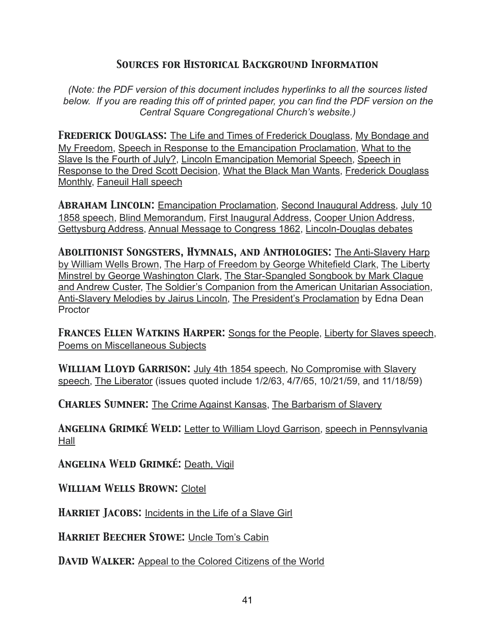## *Sources for Historical Background Information*

*(Note: the PDF version of this document includes hyperlinks to all the sources listed below. If you are reading this off of printed paper, you can find the PDF version on the Central Square Congregational Church's website.)* 

*Frederick Douglass:* The Life and Times of Frederick Douglass, My Bondage and My Freedom, Speech in Response to the Emancipation Proclamation, What to the Slave Is the Fourth of July?, Lincoln Emancipation Memorial Speech, Speech in Response to the Dred Scott Decision, What the Black Man Wants, Frederick Douglass Monthly, Faneuil Hall speech

*Abraham Lincoln:* Emancipation Proclamation, Second Inaugural Address, July 10 1858 speech, Blind Memorandum, First Inaugural Address, Cooper Union Address, Gettysburg Address, Annual Message to Congress 1862, Lincoln-Douglas debates

*Abolitionist Songsters, Hymnals, and Anthologies:* The Anti-Slavery Harp by William Wells Brown, The Harp of Freedom by George Whitefield Clark, The Liberty Minstrel by George Washington Clark, The Star-Spangled Songbook by Mark Clague and Andrew Custer, The Soldier's Companion from the American Unitarian Association, Anti-Slavery Melodies by Jairus Lincoln, The President's Proclamation by Edna Dean **Proctor** 

*Frances Ellen Watkins Harper:* Songs for the People, Liberty for Slaves speech, Poems on Miscellaneous Subjects

*William Lloyd Garrison:* July 4th 1854 speech, No Compromise with Slavery speech, The Liberator (issues quoted include 1/2/63, 4/7/65, 10/21/59, and 11/18/59)

*Charles Sumner:* The Crime Against Kansas, The Barbarism of Slavery

*Angelina Grimké Weld:* Letter to William Lloyd Garrison, speech in Pennsylvania Hall

*Angelina Weld Grimké:* Death, Vigil

*William Wells Brown:* Clotel

**HARRIET JACOBS:** Incidents in the Life of a Slave Girl

*Harriet Beecher Stowe:* Uncle Tom's Cabin

**DAVID WALKER:** Appeal to the Colored Citizens of the World